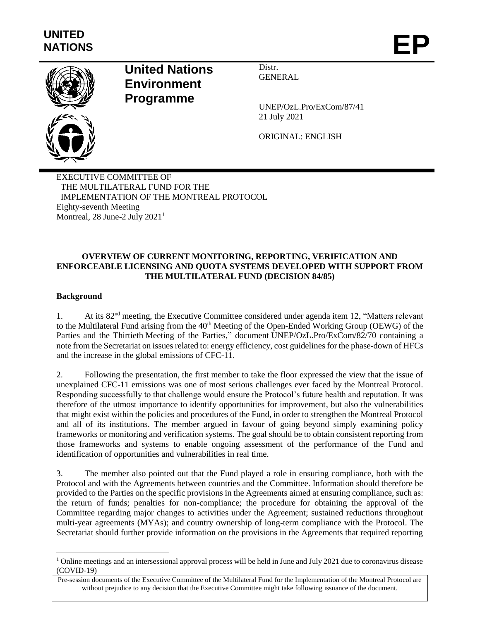

# **United Nations Environment Programme**

Distr. GENERAL

UNEP/OzL.Pro/ExCom/87/41 21 July 2021

ORIGINAL: ENGLISH

EXECUTIVE COMMITTEE OF THE MULTILATERAL FUND FOR THE IMPLEMENTATION OF THE MONTREAL PROTOCOL Eighty-seventh Meeting Montreal, 28 June-2 July 2021<sup>1</sup>

## **OVERVIEW OF CURRENT MONITORING, REPORTING, VERIFICATION AND ENFORCEABLE LICENSING AND QUOTA SYSTEMS DEVELOPED WITH SUPPORT FROM THE MULTILATERAL FUND (DECISION 84/85)**

## **Background**

 $\overline{\phantom{a}}$ 

1. At its 82nd meeting, the Executive Committee considered under agenda item 12, "Matters relevant to the Multilateral Fund arising from the 40<sup>th</sup> Meeting of the Open-Ended Working Group (OEWG) of the Parties and the Thirtieth Meeting of the Parties," document UNEP/OzL.Pro/ExCom/82/70 containing a note from the Secretariat on issues related to: energy efficiency, cost guidelines for the phase-down of HFCs and the increase in the global emissions of CFC-11.

2. Following the presentation, the first member to take the floor expressed the view that the issue of unexplained CFC-11 emissions was one of most serious challenges ever faced by the Montreal Protocol. Responding successfully to that challenge would ensure the Protocol's future health and reputation. It was therefore of the utmost importance to identify opportunities for improvement, but also the vulnerabilities that might exist within the policies and procedures of the Fund, in order to strengthen the Montreal Protocol and all of its institutions. The member argued in favour of going beyond simply examining policy frameworks or monitoring and verification systems. The goal should be to obtain consistent reporting from those frameworks and systems to enable ongoing assessment of the performance of the Fund and identification of opportunities and vulnerabilities in real time.

3. The member also pointed out that the Fund played a role in ensuring compliance, both with the Protocol and with the Agreements between countries and the Committee. Information should therefore be provided to the Parties on the specific provisions in the Agreements aimed at ensuring compliance, such as: the return of funds; penalties for non-compliance; the procedure for obtaining the approval of the Committee regarding major changes to activities under the Agreement; sustained reductions throughout multi-year agreements (MYAs); and country ownership of long-term compliance with the Protocol. The Secretariat should further provide information on the provisions in the Agreements that required reporting

<sup>&</sup>lt;sup>1</sup> Online meetings and an intersessional approval process will be held in June and July 2021 due to coronavirus disease (COVID-19)

Pre-session documents of the Executive Committee of the Multilateral Fund for the Implementation of the Montreal Protocol are without prejudice to any decision that the Executive Committee might take following issuance of the document.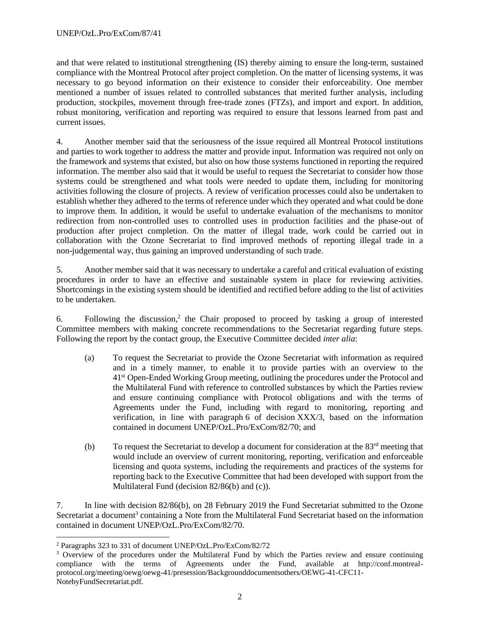and that were related to institutional strengthening (IS) thereby aiming to ensure the long-term, sustained compliance with the Montreal Protocol after project completion. On the matter of licensing systems, it was necessary to go beyond information on their existence to consider their enforceability. One member mentioned a number of issues related to controlled substances that merited further analysis, including production, stockpiles, movement through free-trade zones (FTZs), and import and export. In addition, robust monitoring, verification and reporting was required to ensure that lessons learned from past and current issues.

4. Another member said that the seriousness of the issue required all Montreal Protocol institutions and parties to work together to address the matter and provide input. Information was required not only on the framework and systems that existed, but also on how those systems functioned in reporting the required information. The member also said that it would be useful to request the Secretariat to consider how those systems could be strengthened and what tools were needed to update them, including for monitoring activities following the closure of projects. A review of verification processes could also be undertaken to establish whether they adhered to the terms of reference under which they operated and what could be done to improve them. In addition, it would be useful to undertake evaluation of the mechanisms to monitor redirection from non-controlled uses to controlled uses in production facilities and the phase-out of production after project completion. On the matter of illegal trade, work could be carried out in collaboration with the Ozone Secretariat to find improved methods of reporting illegal trade in a non-judgemental way, thus gaining an improved understanding of such trade.

5. Another member said that it was necessary to undertake a careful and critical evaluation of existing procedures in order to have an effective and sustainable system in place for reviewing activities. Shortcomings in the existing system should be identified and rectified before adding to the list of activities to be undertaken.

6. Following the discussion,<sup>2</sup> the Chair proposed to proceed by tasking a group of interested Committee members with making concrete recommendations to the Secretariat regarding future steps. Following the report by the contact group, the Executive Committee decided *inter alia*:

- (a) To request the Secretariat to provide the Ozone Secretariat with information as required and in a timely manner, to enable it to provide parties with an overview to the 41st Open-Ended Working Group meeting, outlining the procedures under the Protocol and the Multilateral Fund with reference to controlled substances by which the Parties review and ensure continuing compliance with Protocol obligations and with the terms of Agreements under the Fund, including with regard to monitoring, reporting and verification, in line with paragraph 6 of decision XXX/3, based on the information contained in document UNEP/OzL.Pro/ExCom/82/70; and
- (b) To request the Secretariat to develop a document for consideration at the  $83<sup>rd</sup>$  meeting that would include an overview of current monitoring, reporting, verification and enforceable licensing and quota systems, including the requirements and practices of the systems for reporting back to the Executive Committee that had been developed with support from the Multilateral Fund (decision 82/86(b) and (c)).

7. In line with decision 82/86(b), on 28 February 2019 the Fund Secretariat submitted to the Ozone Secretariat a document<sup>3</sup> containing a Note from the Multilateral Fund Secretariat based on the information contained in document UNEP/OzL.Pro/ExCom/82/70.

 $\overline{\phantom{a}}$ 

<sup>2</sup> Paragraphs 323 to 331 of document UNEP/OzL.Pro/ExCom/82/72

<sup>&</sup>lt;sup>3</sup> Overview of the procedures under the Multilateral Fund by which the Parties review and ensure continuing compliance with the terms of Agreements under the Fund, available at http://conf.montrealprotocol.org/meeting/oewg/oewg-41/presession/Backgrounddocumentsothers/OEWG-41-CFC11- NotebyFundSecretariat.pdf.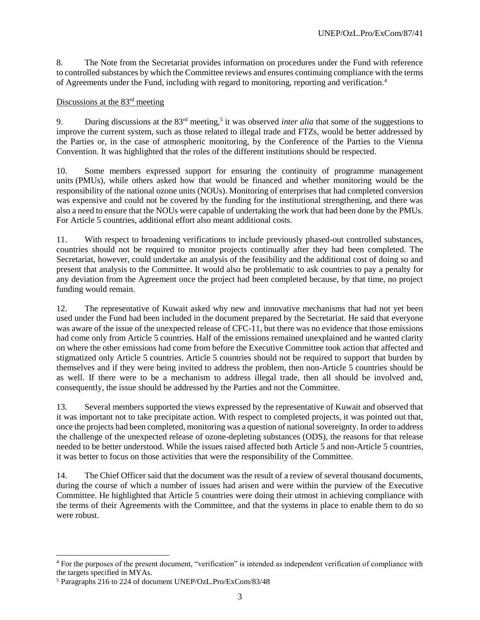8. The Note from the Secretariat provides information on procedures under the Fund with reference to controlled substances by which the Committee reviews and ensures continuing compliance with the terms of Agreements under the Fund, including with regard to monitoring, reporting and verification.<sup>4</sup>

#### Discussions at the 83<sup>rd</sup> meeting

9. During discussions at the 83rd meeting, 5 it was observed *inter alia* that some of the suggestions to improve the current system, such as those related to illegal trade and FTZs, would be better addressed by the Parties or, in the case of atmospheric monitoring, by the Conference of the Parties to the Vienna Convention. It was highlighted that the roles of the different institutions should be respected.

10. Some members expressed support for ensuring the continuity of programme management units (PMUs), while others asked how that would be financed and whether monitoring would be the responsibility of the national ozone units (NOUs). Monitoring of enterprises that had completed conversion was expensive and could not be covered by the funding for the institutional strengthening, and there was also a need to ensure that the NOUs were capable of undertaking the work that had been done by the PMUs. For Article 5 countries, additional effort also meant additional costs.

11. With respect to broadening verifications to include previously phased-out controlled substances, countries should not be required to monitor projects continually after they had been completed. The Secretariat, however, could undertake an analysis of the feasibility and the additional cost of doing so and present that analysis to the Committee. It would also be problematic to ask countries to pay a penalty for any deviation from the Agreement once the project had been completed because, by that time, no project funding would remain.

12. The representative of Kuwait asked why new and innovative mechanisms that had not yet been used under the Fund had been included in the document prepared by the Secretariat. He said that everyone was aware of the issue of the unexpected release of CFC-11, but there was no evidence that those emissions had come only from Article 5 countries. Half of the emissions remained unexplained and he wanted clarity on where the other emissions had come from before the Executive Committee took action that affected and stigmatized only Article 5 countries. Article 5 countries should not be required to support that burden by themselves and if they were being invited to address the problem, then non-Article 5 countries should be as well. If there were to be a mechanism to address illegal trade, then all should be involved and, consequently, the issue should be addressed by the Parties and not the Committee.

13. Several members supported the views expressed by the representative of Kuwait and observed that it was important not to take precipitate action. With respect to completed projects, it was pointed out that, once the projects had been completed, monitoring was a question of national sovereignty. In order to address the challenge of the unexpected release of ozone-depleting substances (ODS), the reasons for that release needed to be better understood. While the issues raised affected both Article 5 and non-Article 5 countries, it was better to focus on those activities that were the responsibility of the Committee.

14. The Chief Officer said that the document was the result of a review of several thousand documents, during the course of which a number of issues had arisen and were within the purview of the Executive Committee. He highlighted that Article 5 countries were doing their utmost in achieving compliance with the terms of their Agreements with the Committee, and that the systems in place to enable them to do so were robust.

l

<sup>&</sup>lt;sup>4</sup> For the purposes of the present document, "verification" is intended as independent verification of compliance with the targets specified in MYAs.

<sup>5</sup> Paragraphs 216 to 224 of document UNEP/OzL.Pro/ExCom/83/48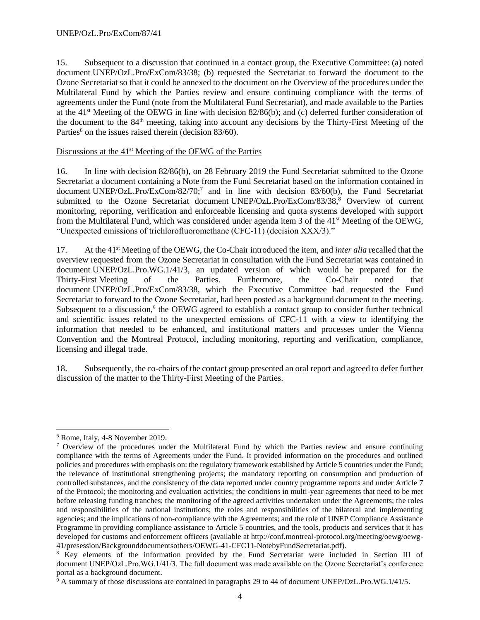15. Subsequent to a discussion that continued in a contact group, the Executive Committee: (a) noted document UNEP/OzL.Pro/ExCom/83/38; (b) requested the Secretariat to forward the document to the Ozone Secretariat so that it could be annexed to the document on the Overview of the procedures under the Multilateral Fund by which the Parties review and ensure continuing compliance with the terms of agreements under the Fund (note from the Multilateral Fund Secretariat), and made available to the Parties at the 41st Meeting of the OEWG in line with decision 82/86(b); and (c) deferred further consideration of the document to the 84<sup>th</sup> meeting, taking into account any decisions by the Thirty-First Meeting of the Parties<sup>6</sup> on the issues raised therein (decision  $83/60$ ).

## Discussions at the 41<sup>st</sup> Meeting of the OEWG of the Parties

16. In line with decision 82/86(b), on 28 February 2019 the Fund Secretariat submitted to the Ozone Secretariat a document containing a Note from the Fund Secretariat based on the information contained in document UNEP/OzL.Pro/ExCom/82/70;<sup>7</sup> and in line with decision 83/60(b), the Fund Secretariat submitted to the Ozone Secretariat document UNEP/OzL.Pro/ExCom/83/38,<sup>8</sup> Overview of current monitoring, reporting, verification and enforceable licensing and quota systems developed with support from the Multilateral Fund, which was considered under agenda item 3 of the 41<sup>st</sup> Meeting of the OEWG, "Unexpected emissions of trichlorofluoromethane (CFC-11) (decision XXX/3)."

17. At the 41st Meeting of the OEWG, the Co-Chair introduced the item, and *inter alia* recalled that the overview requested from the Ozone Secretariat in consultation with the Fund Secretariat was contained in document UNEP/OzL.Pro.WG.1/41/3, an updated version of which would be prepared for the Thirty-First Meeting of the Parties. Furthermore, the Co-Chair noted that document UNEP/OzL.Pro/ExCom/83/38, which the Executive Committee had requested the Fund Secretariat to forward to the Ozone Secretariat, had been posted as a background document to the meeting. Subsequent to a discussion,<sup>9</sup> the OEWG agreed to establish a contact group to consider further technical and scientific issues related to the unexpected emissions of CFC-11 with a view to identifying the information that needed to be enhanced, and institutional matters and processes under the Vienna Convention and the Montreal Protocol, including monitoring, reporting and verification, compliance, licensing and illegal trade.

18. Subsequently, the co-chairs of the contact group presented an oral report and agreed to defer further discussion of the matter to the Thirty-First Meeting of the Parties.

l

<sup>6</sup> Rome, Italy, 4-8 November 2019.

 $\frac{7}{1}$  Overview of the procedures under the Multilateral Fund by which the Parties review and ensure continuing compliance with the terms of Agreements under the Fund. It provided information on the procedures and outlined policies and procedures with emphasis on: the regulatory framework established by Article 5 countries under the Fund; the relevance of institutional strengthening projects; the mandatory reporting on consumption and production of controlled substances, and the consistency of the data reported under country programme reports and under Article 7 of the Protocol; the monitoring and evaluation activities; the conditions in multi-year agreements that need to be met before releasing funding tranches; the monitoring of the agreed activities undertaken under the Agreements; the roles and responsibilities of the national institutions; the roles and responsibilities of the bilateral and implementing agencies; and the implications of non-compliance with the Agreements; and the role of UNEP Compliance Assistance Programme in providing compliance assistance to Article 5 countries, and the tools, products and services that it has developed for customs and enforcement officers (available at http://conf.montreal-protocol.org/meeting/oewg/oewg-41/presession/Backgrounddocumentsothers/OEWG-41-CFC11-NotebyFundSecretariat.pdf).

<sup>8</sup> Key elements of the information provided by the Fund Secretariat were included in Section III of document UNEP/OzL.Pro.WG.1/41/3. The full document was made available on the Ozone Secretariat's conference portal as a background document.

 $9$  A summary of those discussions are contained in paragraphs 29 to 44 of document UNEP/OzL.Pro.WG.1/41/5.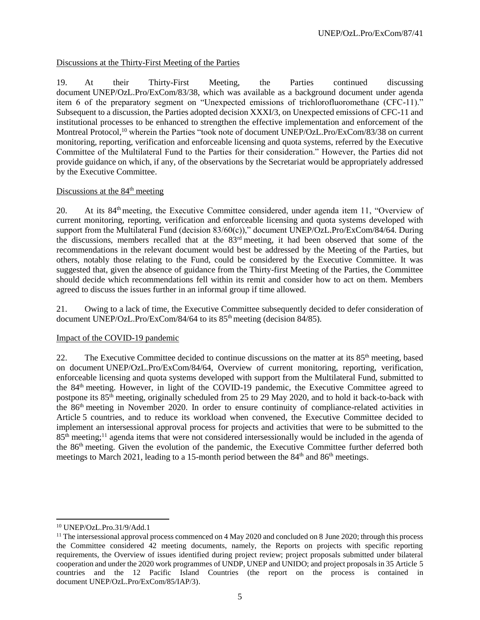Discussions at the Thirty-First Meeting of the Parties

19. At their Thirty-First Meeting, the Parties continued discussing document UNEP/OzL.Pro/ExCom/83/38, which was available as a background document under agenda item 6 of the preparatory segment on "Unexpected emissions of trichlorofluoromethane (CFC-11)." Subsequent to a discussion, the Parties adopted decision XXXI/3, on Unexpected emissions of CFC-11 and institutional processes to be enhanced to strengthen the effective implementation and enforcement of the Montreal Protocol,<sup>10</sup> wherein the Parties "took note of document UNEP/OzL.Pro/ExCom/83/38 on current monitoring, reporting, verification and enforceable licensing and quota systems, referred by the Executive Committee of the Multilateral Fund to the Parties for their consideration." However, the Parties did not provide guidance on which, if any, of the observations by the Secretariat would be appropriately addressed by the Executive Committee.

### Discussions at the  $84<sup>th</sup>$  meeting

20. At its  $84<sup>th</sup>$  meeting, the Executive Committee considered, under agenda item 11, "Overview of current monitoring, reporting, verification and enforceable licensing and quota systems developed with support from the Multilateral Fund (decision 83/60(c))," document UNEP/OzL.Pro/ExCom/84/64. During the discussions, members recalled that at the 83rd meeting, it had been observed that some of the recommendations in the relevant document would best be addressed by the Meeting of the Parties, but others, notably those relating to the Fund, could be considered by the Executive Committee. It was suggested that, given the absence of guidance from the Thirty-first Meeting of the Parties, the Committee should decide which recommendations fell within its remit and consider how to act on them. Members agreed to discuss the issues further in an informal group if time allowed.

21. Owing to a lack of time, the Executive Committee subsequently decided to defer consideration of document UNEP/OzL.Pro/ExCom/84/64 to its  $85<sup>th</sup>$  meeting (decision 84/85).

# Impact of the COVID-19 pandemic

22. The Executive Committee decided to continue discussions on the matter at its  $85<sup>th</sup>$  meeting, based on document UNEP/OzL.Pro/ExCom/84/64, Overview of current monitoring, reporting, verification, enforceable licensing and quota systems developed with support from the Multilateral Fund, submitted to the 84th meeting. However, in light of the COVID-19 pandemic, the Executive Committee agreed to postpone its 85th meeting, originally scheduled from 25 to 29 May 2020, and to hold it back-to-back with the 86th meeting in November 2020. In order to ensure continuity of compliance-related activities in Article 5 countries, and to reduce its workload when convened, the Executive Committee decided to implement an intersessional approval process for projects and activities that were to be submitted to the  $85<sup>th</sup>$  meeting;<sup>11</sup> agenda items that were not considered intersessionally would be included in the agenda of the 86th meeting. Given the evolution of the pandemic, the Executive Committee further deferred both meetings to March 2021, leading to a 15-month period between the 84<sup>th</sup> and 86<sup>th</sup> meetings.

 $\overline{a}$ <sup>10</sup> UNEP/OzL.Pro.31/9/Add.1

<sup>&</sup>lt;sup>11</sup> The intersessional approval process commenced on 4 May 2020 and concluded on 8 June 2020; through this process the Committee considered 42 meeting documents, namely, the Reports on projects with specific reporting requirements, the Overview of issues identified during project review; project proposals submitted under bilateral cooperation and under the 2020 work programmes of UNDP, UNEP and UNIDO; and project proposals in 35 Article 5 countries and the 12 Pacific Island Countries (the report on the process is contained in document UNEP/OzL.Pro/ExCom/85/IAP/3).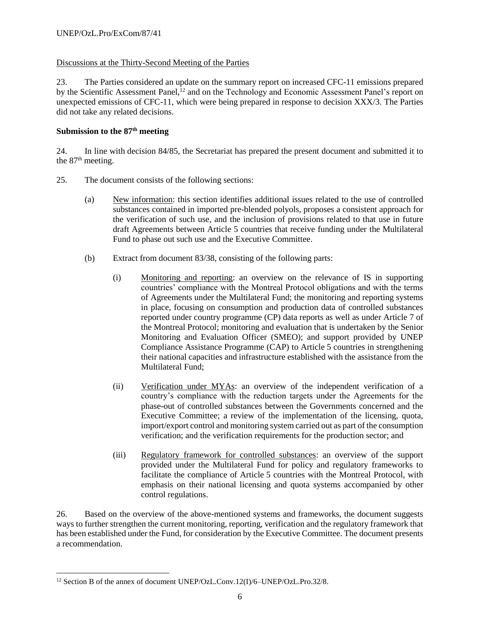## Discussions at the Thirty-Second Meeting of the Parties

23. The Parties considered an update on the summary report on increased CFC-11 emissions prepared by the Scientific Assessment Panel,<sup>12</sup> and on the Technology and Economic Assessment Panel's report on unexpected emissions of CFC-11, which were being prepared in response to decision XXX/3. The Parties did not take any related decisions.

## **Submission to the 87 th meeting**

24. In line with decision 84/85, the Secretariat has prepared the present document and submitted it to the  $87<sup>th</sup>$  meeting.

- 25. The document consists of the following sections:
	- (a) New information: this section identifies additional issues related to the use of controlled substances contained in imported pre-blended polyols, proposes a consistent approach for the verification of such use, and the inclusion of provisions related to that use in future draft Agreements between Article 5 countries that receive funding under the Multilateral Fund to phase out such use and the Executive Committee.
	- (b) Extract from document 83/38, consisting of the following parts:
		- (i) Monitoring and reporting: an overview on the relevance of IS in supporting countries' compliance with the Montreal Protocol obligations and with the terms of Agreements under the Multilateral Fund; the monitoring and reporting systems in place, focusing on consumption and production data of controlled substances reported under country programme (CP) data reports as well as under Article 7 of the Montreal Protocol; monitoring and evaluation that is undertaken by the Senior Monitoring and Evaluation Officer (SMEO); and support provided by UNEP Compliance Assistance Programme (CAP) to Article 5 countries in strengthening their national capacities and infrastructure established with the assistance from the Multilateral Fund;
		- (ii) Verification under MYAs: an overview of the independent verification of a country's compliance with the reduction targets under the Agreements for the phase-out of controlled substances between the Governments concerned and the Executive Committee; a review of the implementation of the licensing, quota, import/export control and monitoring system carried out as part of the consumption verification; and the verification requirements for the production sector; and
		- (iii) Regulatory framework for controlled substances: an overview of the support provided under the Multilateral Fund for policy and regulatory frameworks to facilitate the compliance of Article 5 countries with the Montreal Protocol, with emphasis on their national licensing and quota systems accompanied by other control regulations.

26. Based on the overview of the above-mentioned systems and frameworks, the document suggests ways to further strengthen the current monitoring, reporting, verification and the regulatory framework that has been established under the Fund, for consideration by the Executive Committee. The document presents a recommendation.

 $\overline{a}$ 

<sup>&</sup>lt;sup>12</sup> Section B of the annex of document UNEP/OzL.Conv.12(I)/6–UNEP/OzL.Pro.32/8.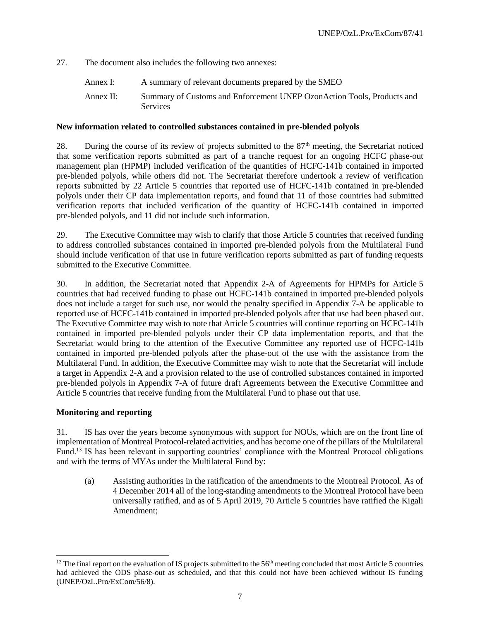27. The document also includes the following two annexes:

- Annex I: A summary of relevant documents prepared by the SMEO
- Annex II: Summary of Customs and Enforcement UNEP OzonAction Tools, Products and Services

#### **New information related to controlled substances contained in pre-blended polyols**

28. During the course of its review of projects submitted to the  $87<sup>th</sup>$  meeting, the Secretariat noticed that some verification reports submitted as part of a tranche request for an ongoing HCFC phase-out management plan (HPMP) included verification of the quantities of HCFC-141b contained in imported pre-blended polyols, while others did not. The Secretariat therefore undertook a review of verification reports submitted by 22 Article 5 countries that reported use of HCFC-141b contained in pre-blended polyols under their CP data implementation reports, and found that 11 of those countries had submitted verification reports that included verification of the quantity of HCFC-141b contained in imported pre-blended polyols, and 11 did not include such information.

29. The Executive Committee may wish to clarify that those Article 5 countries that received funding to address controlled substances contained in imported pre-blended polyols from the Multilateral Fund should include verification of that use in future verification reports submitted as part of funding requests submitted to the Executive Committee.

30. In addition, the Secretariat noted that Appendix 2-A of Agreements for HPMPs for Article 5 countries that had received funding to phase out HCFC-141b contained in imported pre-blended polyols does not include a target for such use, nor would the penalty specified in Appendix 7-A be applicable to reported use of HCFC-141b contained in imported pre-blended polyols after that use had been phased out. The Executive Committee may wish to note that Article 5 countries will continue reporting on HCFC-141b contained in imported pre-blended polyols under their CP data implementation reports, and that the Secretariat would bring to the attention of the Executive Committee any reported use of HCFC-141b contained in imported pre-blended polyols after the phase-out of the use with the assistance from the Multilateral Fund. In addition, the Executive Committee may wish to note that the Secretariat will include a target in Appendix 2-A and a provision related to the use of controlled substances contained in imported pre-blended polyols in Appendix 7-A of future draft Agreements between the Executive Committee and Article 5 countries that receive funding from the Multilateral Fund to phase out that use.

#### **Monitoring and reporting**

l

31. IS has over the years become synonymous with support for NOUs, which are on the front line of implementation of Montreal Protocol-related activities, and has become one of the pillars of the Multilateral Fund.<sup>13</sup> IS has been relevant in supporting countries' compliance with the Montreal Protocol obligations and with the terms of MYAs under the Multilateral Fund by:

(a) Assisting authorities in the ratification of the amendments to the Montreal Protocol. As of 4 December 2014 all of the long-standing amendments to the Montreal Protocol have been universally ratified, and as of 5 April 2019, 70 Article 5 countries have ratified the Kigali Amendment;

 $13$  The final report on the evaluation of IS projects submitted to the 56<sup>th</sup> meeting concluded that most Article 5 countries had achieved the ODS phase-out as scheduled, and that this could not have been achieved without IS funding (UNEP/OzL.Pro/ExCom/56/8).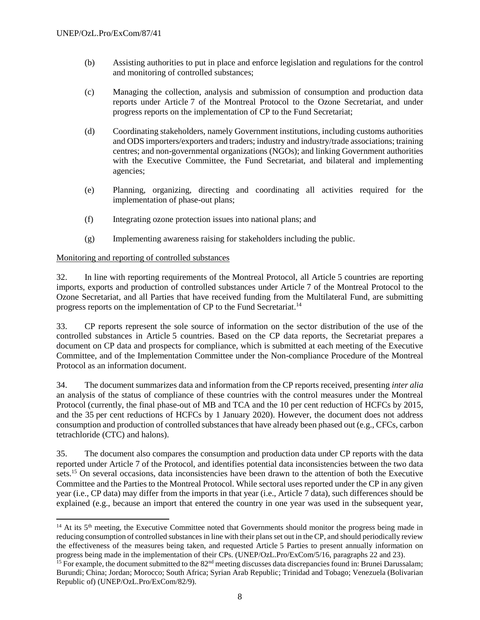- (b) Assisting authorities to put in place and enforce legislation and regulations for the control and monitoring of controlled substances;
- (c) Managing the collection, analysis and submission of consumption and production data reports under Article 7 of the Montreal Protocol to the Ozone Secretariat, and under progress reports on the implementation of CP to the Fund Secretariat;
- (d) Coordinating stakeholders, namely Government institutions, including customs authorities and ODS importers/exporters and traders; industry and industry/trade associations; training centres; and non-governmental organizations (NGOs); and linking Government authorities with the Executive Committee, the Fund Secretariat, and bilateral and implementing agencies;
- (e) Planning, organizing, directing and coordinating all activities required for the implementation of phase-out plans;
- (f) Integrating ozone protection issues into national plans; and
- (g) Implementing awareness raising for stakeholders including the public.

#### Monitoring and reporting of controlled substances

 $\overline{a}$ 

32. In line with reporting requirements of the Montreal Protocol, all Article 5 countries are reporting imports, exports and production of controlled substances under Article 7 of the Montreal Protocol to the Ozone Secretariat, and all Parties that have received funding from the Multilateral Fund, are submitting progress reports on the implementation of CP to the Fund Secretariat.<sup>14</sup>

33. CP reports represent the sole source of information on the sector distribution of the use of the controlled substances in Article 5 countries. Based on the CP data reports, the Secretariat prepares a document on CP data and prospects for compliance, which is submitted at each meeting of the Executive Committee, and of the Implementation Committee under the Non-compliance Procedure of the Montreal Protocol as an information document.

34. The document summarizes data and information from the CP reports received, presenting *inter alia*  an analysis of the status of compliance of these countries with the control measures under the Montreal Protocol (currently, the final phase-out of MB and TCA and the 10 per cent reduction of HCFCs by 2015, and the 35 per cent reductions of HCFCs by 1 January 2020). However, the document does not address consumption and production of controlled substances that have already been phased out (e.g., CFCs, carbon tetrachloride (CTC) and halons).

35. The document also compares the consumption and production data under CP reports with the data reported under Article 7 of the Protocol, and identifies potential data inconsistencies between the two data sets.<sup>15</sup> On several occasions, data inconsistencies have been drawn to the attention of both the Executive Committee and the Parties to the Montreal Protocol. While sectoral uses reported under the CP in any given year (i.e., CP data) may differ from the imports in that year (i.e., Article 7 data), such differences should be explained (e.g., because an import that entered the country in one year was used in the subsequent year,

<sup>&</sup>lt;sup>14</sup> At its 5<sup>th</sup> meeting, the Executive Committee noted that Governments should monitor the progress being made in reducing consumption of controlled substances in line with their plans set out in the CP, and should periodically review the effectiveness of the measures being taken, and requested Article 5 Parties to present annually information on progress being made in the implementation of their CPs. (UNEP/OzL.Pro/ExCom/5/16, paragraphs 22 and 23).

<sup>&</sup>lt;sup>15</sup> For example, the document submitted to the  $82<sup>nd</sup>$  meeting discusses data discrepancies found in: Brunei Darussalam; Burundi; China; Jordan; Morocco; South Africa; Syrian Arab Republic; Trinidad and Tobago; Venezuela (Bolivarian Republic of) (UNEP/OzL.Pro/ExCom/82/9).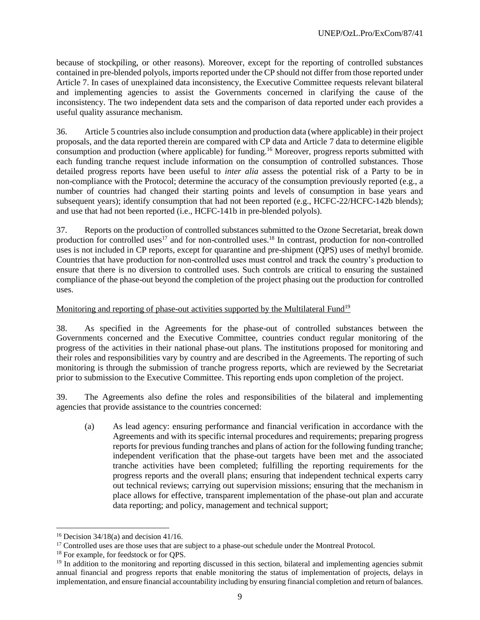because of stockpiling, or other reasons). Moreover, except for the reporting of controlled substances contained in pre-blended polyols, imports reported under the CP should not differ from those reported under Article 7. In cases of unexplained data inconsistency, the Executive Committee requests relevant bilateral and implementing agencies to assist the Governments concerned in clarifying the cause of the inconsistency. The two independent data sets and the comparison of data reported under each provides a useful quality assurance mechanism.

36. Article 5 countries also include consumption and production data (where applicable) in their project proposals, and the data reported therein are compared with CP data and Article 7 data to determine eligible consumption and production (where applicable) for funding.<sup>16</sup> Moreover, progress reports submitted with each funding tranche request include information on the consumption of controlled substances. Those detailed progress reports have been useful to *inter alia* assess the potential risk of a Party to be in non-compliance with the Protocol; determine the accuracy of the consumption previously reported (e.g., a number of countries had changed their starting points and levels of consumption in base years and subsequent years); identify consumption that had not been reported (e.g., HCFC-22/HCFC-142b blends); and use that had not been reported (i.e., HCFC-141b in pre-blended polyols).

37. Reports on the production of controlled substances submitted to the Ozone Secretariat, break down production for controlled uses<sup>17</sup> and for non-controlled uses.<sup>18</sup> In contrast, production for non-controlled uses is not included in CP reports, except for quarantine and pre-shipment (QPS) uses of methyl bromide. Countries that have production for non-controlled uses must control and track the country's production to ensure that there is no diversion to controlled uses. Such controls are critical to ensuring the sustained compliance of the phase-out beyond the completion of the project phasing out the production for controlled uses.

## Monitoring and reporting of phase-out activities supported by the Multilateral Fund<sup>19</sup>

38. As specified in the Agreements for the phase-out of controlled substances between the Governments concerned and the Executive Committee, countries conduct regular monitoring of the progress of the activities in their national phase-out plans. The institutions proposed for monitoring and their roles and responsibilities vary by country and are described in the Agreements. The reporting of such monitoring is through the submission of tranche progress reports, which are reviewed by the Secretariat prior to submission to the Executive Committee. This reporting ends upon completion of the project.

39. The Agreements also define the roles and responsibilities of the bilateral and implementing agencies that provide assistance to the countries concerned:

(a) As lead agency: ensuring performance and financial verification in accordance with the Agreements and with its specific internal procedures and requirements; preparing progress reports for previous funding tranches and plans of action for the following funding tranche; independent verification that the phase-out targets have been met and the associated tranche activities have been completed; fulfilling the reporting requirements for the progress reports and the overall plans; ensuring that independent technical experts carry out technical reviews; carrying out supervision missions; ensuring that the mechanism in place allows for effective, transparent implementation of the phase-out plan and accurate data reporting; and policy, management and technical support;

l

<sup>&</sup>lt;sup>16</sup> Decision 34/18(a) and decision 41/16.

<sup>&</sup>lt;sup>17</sup> Controlled uses are those uses that are subject to a phase-out schedule under the Montreal Protocol.

<sup>&</sup>lt;sup>18</sup> For example, for feedstock or for OPS.

<sup>&</sup>lt;sup>19</sup> In addition to the monitoring and reporting discussed in this section, bilateral and implementing agencies submit annual financial and progress reports that enable monitoring the status of implementation of projects, delays in implementation, and ensure financial accountability including by ensuring financial completion and return of balances.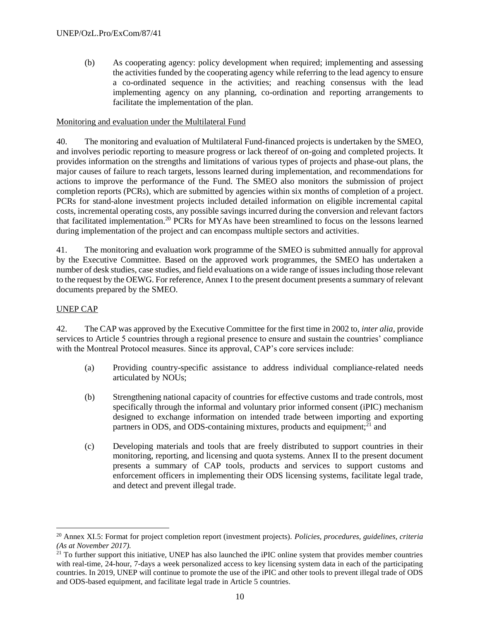(b) As cooperating agency: policy development when required; implementing and assessing the activities funded by the cooperating agency while referring to the lead agency to ensure a co-ordinated sequence in the activities; and reaching consensus with the lead implementing agency on any planning, co-ordination and reporting arrangements to facilitate the implementation of the plan.

#### Monitoring and evaluation under the Multilateral Fund

40. The monitoring and evaluation of Multilateral Fund-financed projects is undertaken by the SMEO, and involves periodic reporting to measure progress or lack thereof of on-going and completed projects. It provides information on the strengths and limitations of various types of projects and phase-out plans, the major causes of failure to reach targets, lessons learned during implementation, and recommendations for actions to improve the performance of the Fund. The SMEO also monitors the submission of project completion reports (PCRs), which are submitted by agencies within six months of completion of a project. PCRs for stand-alone investment projects included detailed information on eligible incremental capital costs, incremental operating costs, any possible savings incurred during the conversion and relevant factors that facilitated implementation.<sup>20</sup> PCRs for MYAs have been streamlined to focus on the lessons learned during implementation of the project and can encompass multiple sectors and activities.

41. The monitoring and evaluation work programme of the SMEO is submitted annually for approval by the Executive Committee. Based on the approved work programmes, the SMEO has undertaken a number of desk studies, case studies, and field evaluations on a wide range of issues including those relevant to the request by the OEWG. For reference, Annex I to the present document presents a summary of relevant documents prepared by the SMEO.

#### UNEP CAP

l

42. The CAP was approved by the Executive Committee for the first time in 2002 to, *inter alia*, provide services to Article 5 countries through a regional presence to ensure and sustain the countries' compliance with the Montreal Protocol measures. Since its approval, CAP's core services include:

- (a) Providing country-specific assistance to address individual compliance-related needs articulated by NOUs;
- (b) Strengthening national capacity of countries for effective customs and trade controls, most specifically through the informal and voluntary prior informed consent (iPIC) mechanism designed to exchange information on intended trade between importing and exporting partners in ODS, and ODS-containing mixtures, products and equipment; $^{21}$  and
- (c) Developing materials and tools that are freely distributed to support countries in their monitoring, reporting, and licensing and quota systems. Annex II to the present document presents a summary of CAP tools, products and services to support customs and enforcement officers in implementing their ODS licensing systems, facilitate legal trade, and detect and prevent illegal trade.

<sup>20</sup> Annex XI.5: Format for project completion report (investment projects). *Policies, procedures, guidelines, criteria (As at November 2017).*

 $21$  To further support this initiative, UNEP has also launched the iPIC online system that provides member countries with real-time, 24-hour, 7-days a week personalized access to key licensing system data in each of the participating countries. In 2019, UNEP will continue to promote the use of the iPIC and other tools to prevent illegal trade of ODS and ODS-based equipment, and facilitate legal trade in Article 5 countries.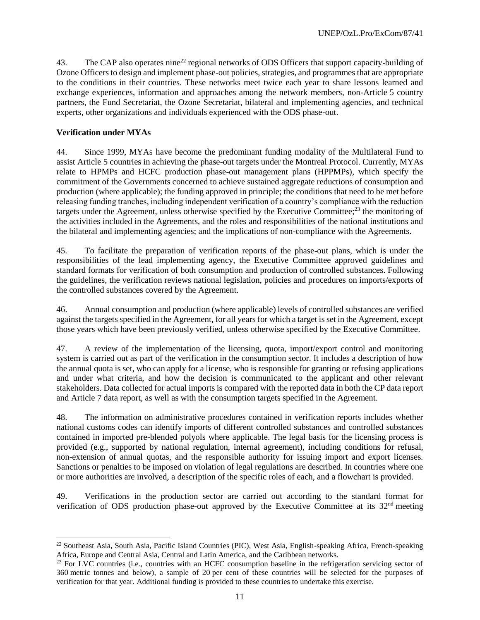43. The CAP also operates nine<sup>22</sup> regional networks of ODS Officers that support capacity-building of Ozone Officers to design and implement phase-out policies, strategies, and programmes that are appropriate to the conditions in their countries. These networks meet twice each year to share lessons learned and exchange experiences, information and approaches among the network members, non-Article 5 country partners, the Fund Secretariat, the Ozone Secretariat, bilateral and implementing agencies, and technical experts, other organizations and individuals experienced with the ODS phase-out.

#### **Verification under MYAs**

 $\overline{\phantom{a}}$ 

44. Since 1999, MYAs have become the predominant funding modality of the Multilateral Fund to assist Article 5 countries in achieving the phase-out targets under the Montreal Protocol. Currently, MYAs relate to HPMPs and HCFC production phase-out management plans (HPPMPs), which specify the commitment of the Governments concerned to achieve sustained aggregate reductions of consumption and production (where applicable); the funding approved in principle; the conditions that need to be met before releasing funding tranches, including independent verification of a country's compliance with the reduction targets under the Agreement, unless otherwise specified by the Executive Committee; $^{23}$  the monitoring of the activities included in the Agreements, and the roles and responsibilities of the national institutions and the bilateral and implementing agencies; and the implications of non-compliance with the Agreements.

45. To facilitate the preparation of verification reports of the phase-out plans, which is under the responsibilities of the lead implementing agency, the Executive Committee approved guidelines and standard formats for verification of both consumption and production of controlled substances. Following the guidelines, the verification reviews national legislation, policies and procedures on imports/exports of the controlled substances covered by the Agreement.

46. Annual consumption and production (where applicable) levels of controlled substances are verified against the targets specified in the Agreement, for all years for which a target is set in the Agreement, except those years which have been previously verified, unless otherwise specified by the Executive Committee.

47. A review of the implementation of the licensing, quota, import/export control and monitoring system is carried out as part of the verification in the consumption sector. It includes a description of how the annual quota is set, who can apply for a license, who is responsible for granting or refusing applications and under what criteria, and how the decision is communicated to the applicant and other relevant stakeholders. Data collected for actual imports is compared with the reported data in both the CP data report and Article 7 data report, as well as with the consumption targets specified in the Agreement.

48. The information on administrative procedures contained in verification reports includes whether national customs codes can identify imports of different controlled substances and controlled substances contained in imported pre-blended polyols where applicable. The legal basis for the licensing process is provided (e.g., supported by national regulation, internal agreement), including conditions for refusal, non-extension of annual quotas, and the responsible authority for issuing import and export licenses. Sanctions or penalties to be imposed on violation of legal regulations are described. In countries where one or more authorities are involved, a description of the specific roles of each, and a flowchart is provided.

49. Verifications in the production sector are carried out according to the standard format for verification of ODS production phase-out approved by the Executive Committee at its  $32<sup>nd</sup>$  meeting

<sup>22</sup> Southeast Asia, South Asia, Pacific Island Countries (PIC), West Asia, English-speaking Africa, French-speaking Africa, Europe and Central Asia, Central and Latin America, and the Caribbean networks.

<sup>&</sup>lt;sup>23</sup> For LVC countries (i.e., countries with an HCFC consumption baseline in the refrigeration servicing sector of 360 metric tonnes and below), a sample of 20 per cent of these countries will be selected for the purposes of verification for that year. Additional funding is provided to these countries to undertake this exercise.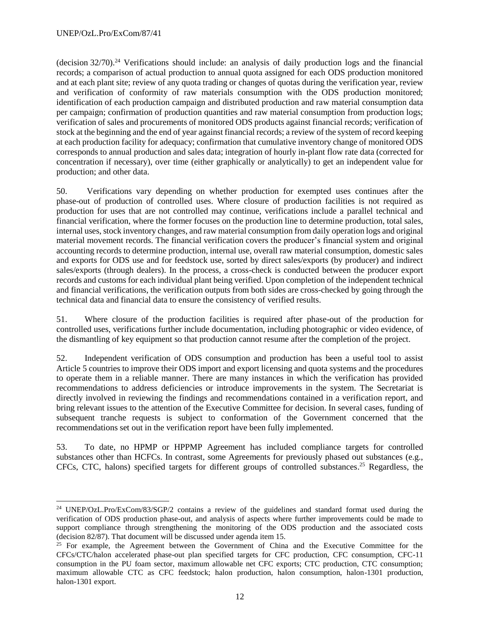l

(decision  $32/70$ ).<sup>24</sup> Verifications should include: an analysis of daily production logs and the financial records; a comparison of actual production to annual quota assigned for each ODS production monitored and at each plant site; review of any quota trading or changes of quotas during the verification year, review and verification of conformity of raw materials consumption with the ODS production monitored; identification of each production campaign and distributed production and raw material consumption data per campaign; confirmation of production quantities and raw material consumption from production logs; verification of sales and procurements of monitored ODS products against financial records; verification of stock at the beginning and the end of year against financial records; a review of the system of record keeping at each production facility for adequacy; confirmation that cumulative inventory change of monitored ODS corresponds to annual production and sales data; integration of hourly in-plant flow rate data (corrected for concentration if necessary), over time (either graphically or analytically) to get an independent value for production; and other data.

50. Verifications vary depending on whether production for exempted uses continues after the phase-out of production of controlled uses. Where closure of production facilities is not required as production for uses that are not controlled may continue, verifications include a parallel technical and financial verification, where the former focuses on the production line to determine production, total sales, internal uses, stock inventory changes, and raw material consumption from daily operation logs and original material movement records. The financial verification covers the producer's financial system and original accounting records to determine production, internal use, overall raw material consumption, domestic sales and exports for ODS use and for feedstock use, sorted by direct sales/exports (by producer) and indirect sales/exports (through dealers). In the process, a cross-check is conducted between the producer export records and customs for each individual plant being verified. Upon completion of the independent technical and financial verifications, the verification outputs from both sides are cross-checked by going through the technical data and financial data to ensure the consistency of verified results.

51. Where closure of the production facilities is required after phase-out of the production for controlled uses, verifications further include documentation, including photographic or video evidence, of the dismantling of key equipment so that production cannot resume after the completion of the project.

52. Independent verification of ODS consumption and production has been a useful tool to assist Article 5 countries to improve their ODS import and export licensing and quota systems and the procedures to operate them in a reliable manner. There are many instances in which the verification has provided recommendations to address deficiencies or introduce improvements in the system. The Secretariat is directly involved in reviewing the findings and recommendations contained in a verification report, and bring relevant issues to the attention of the Executive Committee for decision. In several cases, funding of subsequent tranche requests is subject to conformation of the Government concerned that the recommendations set out in the verification report have been fully implemented.

53. To date, no HPMP or HPPMP Agreement has included compliance targets for controlled substances other than HCFCs. In contrast, some Agreements for previously phased out substances (e.g., CFCs, CTC, halons) specified targets for different groups of controlled substances.<sup>25</sup> Regardless, the

<sup>24</sup> UNEP/OzL.Pro/ExCom/83/SGP/2 contains a review of the guidelines and standard format used during the verification of ODS production phase-out, and analysis of aspects where further improvements could be made to support compliance through strengthening the monitoring of the ODS production and the associated costs (decision 82/87). That document will be discussed under agenda item 15.

 $25$  For example, the Agreement between the Government of China and the Executive Committee for the CFCs/CTC/halon accelerated phase-out plan specified targets for CFC production, CFC consumption, CFC-11 consumption in the PU foam sector, maximum allowable net CFC exports; CTC production, CTC consumption; maximum allowable CTC as CFC feedstock; halon production, halon consumption, halon-1301 production, halon-1301 export.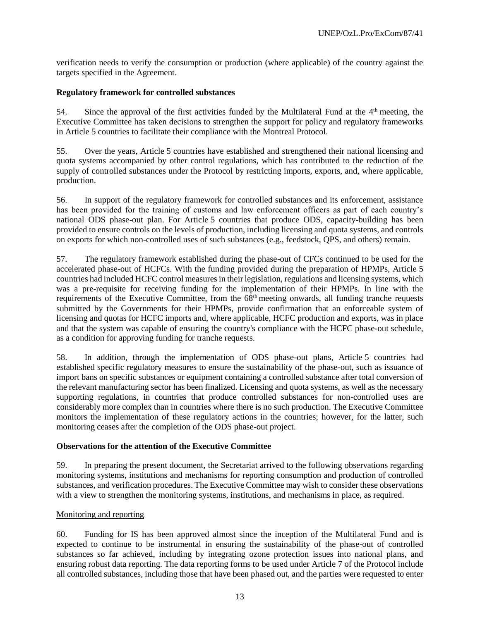verification needs to verify the consumption or production (where applicable) of the country against the targets specified in the Agreement.

#### **Regulatory framework for controlled substances**

54. Since the approval of the first activities funded by the Multilateral Fund at the  $4<sup>th</sup>$  meeting, the Executive Committee has taken decisions to strengthen the support for policy and regulatory frameworks in Article 5 countries to facilitate their compliance with the Montreal Protocol.

55. Over the years, Article 5 countries have established and strengthened their national licensing and quota systems accompanied by other control regulations, which has contributed to the reduction of the supply of controlled substances under the Protocol by restricting imports, exports, and, where applicable, production.

56. In support of the regulatory framework for controlled substances and its enforcement, assistance has been provided for the training of customs and law enforcement officers as part of each country's national ODS phase-out plan. For Article 5 countries that produce ODS, capacity-building has been provided to ensure controls on the levels of production, including licensing and quota systems, and controls on exports for which non-controlled uses of such substances (e.g., feedstock, QPS, and others) remain.

57. The regulatory framework established during the phase-out of CFCs continued to be used for the accelerated phase-out of HCFCs. With the funding provided during the preparation of HPMPs, Article 5 countries had included HCFC control measures in their legislation, regulations and licensing systems, which was a pre-requisite for receiving funding for the implementation of their HPMPs. In line with the requirements of the Executive Committee, from the  $68<sup>th</sup>$  meeting onwards, all funding tranche requests submitted by the Governments for their HPMPs, provide confirmation that an enforceable system of licensing and quotas for HCFC imports and, where applicable, HCFC production and exports, was in place and that the system was capable of ensuring the country's compliance with the HCFC phase-out schedule, as a condition for approving funding for tranche requests.

58. In addition, through the implementation of ODS phase-out plans, Article 5 countries had established specific regulatory measures to ensure the sustainability of the phase-out, such as issuance of import bans on specific substances or equipment containing a controlled substance after total conversion of the relevant manufacturing sector has been finalized. Licensing and quota systems, as well as the necessary supporting regulations, in countries that produce controlled substances for non-controlled uses are considerably more complex than in countries where there is no such production. The Executive Committee monitors the implementation of these regulatory actions in the countries; however, for the latter, such monitoring ceases after the completion of the ODS phase-out project.

#### **Observations for the attention of the Executive Committee**

59. In preparing the present document, the Secretariat arrived to the following observations regarding monitoring systems, institutions and mechanisms for reporting consumption and production of controlled substances, and verification procedures. The Executive Committee may wish to consider these observations with a view to strengthen the monitoring systems, institutions, and mechanisms in place, as required.

#### Monitoring and reporting

60. Funding for IS has been approved almost since the inception of the Multilateral Fund and is expected to continue to be instrumental in ensuring the sustainability of the phase-out of controlled substances so far achieved, including by integrating ozone protection issues into national plans, and ensuring robust data reporting. The data reporting forms to be used under Article 7 of the Protocol include all controlled substances, including those that have been phased out, and the parties were requested to enter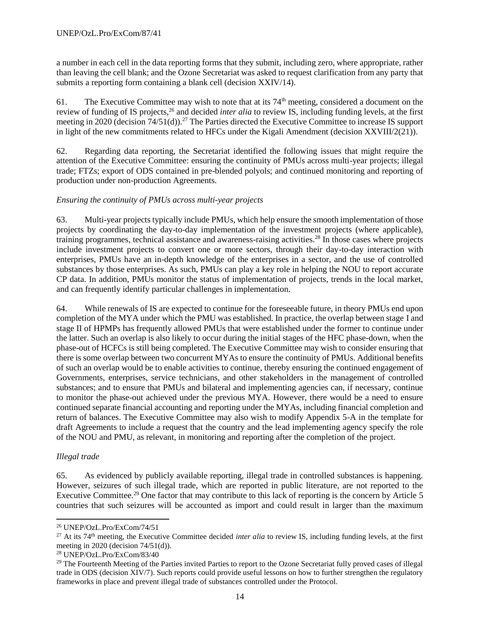a number in each cell in the data reporting forms that they submit, including zero, where appropriate, rather than leaving the cell blank; and the Ozone Secretariat was asked to request clarification from any party that submits a reporting form containing a blank cell (decision XXIV/14).

61. The Executive Committee may wish to note that at its  $74<sup>th</sup>$  meeting, considered a document on the review of funding of IS projects,<sup>26</sup> and decided *inter alia* to review IS, including funding levels, at the first meeting in 2020 (decision 74/51(d)).<sup>27</sup> The Parties directed the Executive Committee to increase IS support in light of the new commitments related to HFCs under the Kigali Amendment (decision XXVIII/2(21)).

62. Regarding data reporting, the Secretariat identified the following issues that might require the attention of the Executive Committee: ensuring the continuity of PMUs across multi-year projects; illegal trade; FTZs; export of ODS contained in pre-blended polyols; and continued monitoring and reporting of production under non-production Agreements.

# *Ensuring the continuity of PMUs across multi-year projects*

63. Multi-year projects typically include PMUs, which help ensure the smooth implementation of those projects by coordinating the day-to-day implementation of the investment projects (where applicable), training programmes, technical assistance and awareness-raising activities.<sup>28</sup> In those cases where projects include investment projects to convert one or more sectors, through their day-to-day interaction with enterprises, PMUs have an in-depth knowledge of the enterprises in a sector, and the use of controlled substances by those enterprises. As such, PMUs can play a key role in helping the NOU to report accurate CP data. In addition, PMUs monitor the status of implementation of projects, trends in the local market, and can frequently identify particular challenges in implementation.

64. While renewals of IS are expected to continue for the foreseeable future, in theory PMUs end upon completion of the MYA under which the PMU was established. In practice, the overlap between stage I and stage II of HPMPs has frequently allowed PMUs that were established under the former to continue under the latter. Such an overlap is also likely to occur during the initial stages of the HFC phase-down, when the phase-out of HCFCs is still being completed. The Executive Committee may wish to consider ensuring that there is some overlap between two concurrent MYAs to ensure the continuity of PMUs. Additional benefits of such an overlap would be to enable activities to continue, thereby ensuring the continued engagement of Governments, enterprises, service technicians, and other stakeholders in the management of controlled substances; and to ensure that PMUs and bilateral and implementing agencies can, if necessary, continue to monitor the phase-out achieved under the previous MYA. However, there would be a need to ensure continued separate financial accounting and reporting under the MYAs, including financial completion and return of balances. The Executive Committee may also wish to modify Appendix 5-A in the template for draft Agreements to include a request that the country and the lead implementing agency specify the role of the NOU and PMU, as relevant, in monitoring and reporting after the completion of the project.

# *Illegal trade*

 $\overline{a}$ 

65. As evidenced by publicly available reporting, illegal trade in controlled substances is happening. However, seizures of such illegal trade, which are reported in public literature, are not reported to the Executive Committee.<sup>29</sup> One factor that may contribute to this lack of reporting is the concern by Article 5 countries that such seizures will be accounted as import and could result in larger than the maximum

<sup>26</sup> UNEP/OzL.Pro/ExCom/74/51

<sup>&</sup>lt;sup>27</sup> At its 74<sup>th</sup> meeting, the Executive Committee decided *inter alia* to review IS, including funding levels, at the first meeting in 2020 (decision  $74/51(d)$ ).

<sup>28</sup> UNEP/OzL.Pro/ExCom/83/40

<sup>&</sup>lt;sup>29</sup> The Fourteenth Meeting of the Parties invited Parties to report to the Ozone Secretariat fully proved cases of illegal trade in ODS (decision XIV/7). Such reports could provide useful lessons on how to further strengthen the regulatory frameworks in place and prevent illegal trade of substances controlled under the Protocol.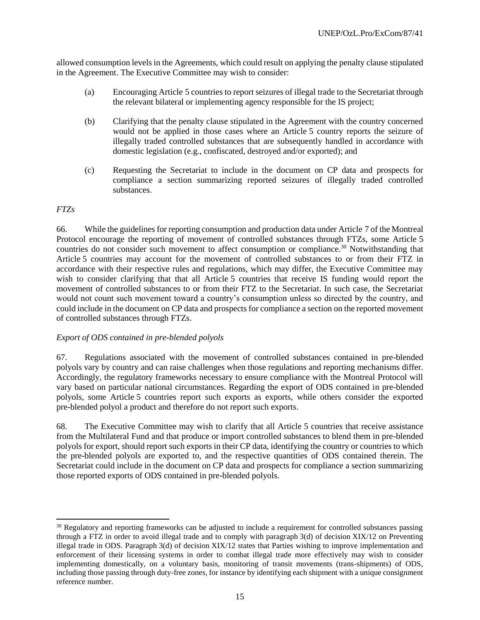allowed consumption levels in the Agreements, which could result on applying the penalty clause stipulated in the Agreement. The Executive Committee may wish to consider:

- (a) Encouraging Article 5 countries to report seizures of illegal trade to the Secretariat through the relevant bilateral or implementing agency responsible for the IS project;
- (b) Clarifying that the penalty clause stipulated in the Agreement with the country concerned would not be applied in those cases where an Article 5 country reports the seizure of illegally traded controlled substances that are subsequently handled in accordance with domestic legislation (e.g., confiscated, destroyed and/or exported); and
- (c) Requesting the Secretariat to include in the document on CP data and prospects for compliance a section summarizing reported seizures of illegally traded controlled substances.

## *FTZs*

66. While the guidelines for reporting consumption and production data under Article 7 of the Montreal Protocol encourage the reporting of movement of controlled substances through FTZs, some Article 5 countries do not consider such movement to affect consumption or compliance.<sup>30</sup> Notwithstanding that Article 5 countries may account for the movement of controlled substances to or from their FTZ in accordance with their respective rules and regulations, which may differ, the Executive Committee may wish to consider clarifying that that all Article 5 countries that receive IS funding would report the movement of controlled substances to or from their FTZ to the Secretariat. In such case, the Secretariat would not count such movement toward a country's consumption unless so directed by the country, and could include in the document on CP data and prospects for compliance a section on the reported movement of controlled substances through FTZs.

#### *Export of ODS contained in pre-blended polyols*

67. Regulations associated with the movement of controlled substances contained in pre-blended polyols vary by country and can raise challenges when those regulations and reporting mechanisms differ. Accordingly, the regulatory frameworks necessary to ensure compliance with the Montreal Protocol will vary based on particular national circumstances. Regarding the export of ODS contained in pre-blended polyols, some Article 5 countries report such exports as exports, while others consider the exported pre-blended polyol a product and therefore do not report such exports.

68. The Executive Committee may wish to clarify that all Article 5 countries that receive assistance from the Multilateral Fund and that produce or import controlled substances to blend them in pre-blended polyols for export, should report such exports in their CP data, identifying the country or countries to which the pre-blended polyols are exported to, and the respective quantities of ODS contained therein. The Secretariat could include in the document on CP data and prospects for compliance a section summarizing those reported exports of ODS contained in pre-blended polyols.

 $\overline{a}$ <sup>30</sup> Regulatory and reporting frameworks can be adjusted to include a requirement for controlled substances passing through a FTZ in order to avoid illegal trade and to comply with paragraph 3(d) of decision XIX/12 on Preventing illegal trade in ODS. Paragraph 3(d) of decision XIX/12 states that Parties wishing to improve implementation and enforcement of their licensing systems in order to combat illegal trade more effectively may wish to consider implementing domestically, on a voluntary basis, monitoring of transit movements (trans-shipments) of ODS, including those passing through duty-free zones, for instance by identifying each shipment with a unique consignment reference number.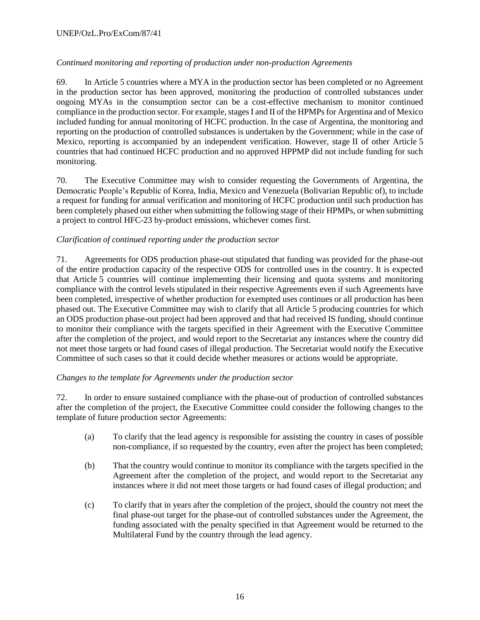# *Continued monitoring and reporting of production under non-production Agreements*

69. In Article 5 countries where a MYA in the production sector has been completed or no Agreement in the production sector has been approved, monitoring the production of controlled substances under ongoing MYAs in the consumption sector can be a cost-effective mechanism to monitor continued compliance in the production sector. For example, stages I and II of the HPMPs for Argentina and of Mexico included funding for annual monitoring of HCFC production. In the case of Argentina, the monitoring and reporting on the production of controlled substances is undertaken by the Government; while in the case of Mexico, reporting is accompanied by an independent verification. However, stage II of other Article 5 countries that had continued HCFC production and no approved HPPMP did not include funding for such monitoring.

70. The Executive Committee may wish to consider requesting the Governments of Argentina, the Democratic People's Republic of Korea, India, Mexico and Venezuela (Bolivarian Republic of), to include a request for funding for annual verification and monitoring of HCFC production until such production has been completely phased out either when submitting the following stage of their HPMPs, or when submitting a project to control HFC-23 by-product emissions, whichever comes first.

# *Clarification of continued reporting under the production sector*

71. Agreements for ODS production phase-out stipulated that funding was provided for the phase-out of the entire production capacity of the respective ODS for controlled uses in the country. It is expected that Article 5 countries will continue implementing their licensing and quota systems and monitoring compliance with the control levels stipulated in their respective Agreements even if such Agreements have been completed, irrespective of whether production for exempted uses continues or all production has been phased out. The Executive Committee may wish to clarify that all Article 5 producing countries for which an ODS production phase-out project had been approved and that had received IS funding, should continue to monitor their compliance with the targets specified in their Agreement with the Executive Committee after the completion of the project, and would report to the Secretariat any instances where the country did not meet those targets or had found cases of illegal production. The Secretariat would notify the Executive Committee of such cases so that it could decide whether measures or actions would be appropriate.

# *Changes to the template for Agreements under the production sector*

72. In order to ensure sustained compliance with the phase-out of production of controlled substances after the completion of the project, the Executive Committee could consider the following changes to the template of future production sector Agreements:

- (a) To clarify that the lead agency is responsible for assisting the country in cases of possible non-compliance, if so requested by the country, even after the project has been completed;
- (b) That the country would continue to monitor its compliance with the targets specified in the Agreement after the completion of the project, and would report to the Secretariat any instances where it did not meet those targets or had found cases of illegal production; and
- (c) To clarify that in years after the completion of the project, should the country not meet the final phase-out target for the phase-out of controlled substances under the Agreement, the funding associated with the penalty specified in that Agreement would be returned to the Multilateral Fund by the country through the lead agency.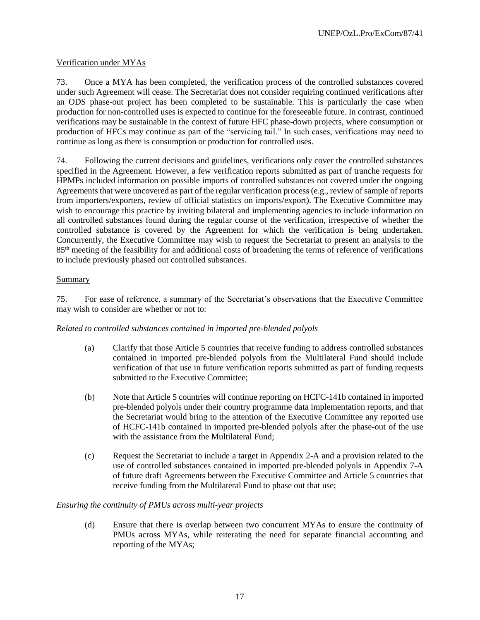## Verification under MYAs

73. Once a MYA has been completed, the verification process of the controlled substances covered under such Agreement will cease. The Secretariat does not consider requiring continued verifications after an ODS phase-out project has been completed to be sustainable. This is particularly the case when production for non-controlled uses is expected to continue for the foreseeable future. In contrast, continued verifications may be sustainable in the context of future HFC phase-down projects, where consumption or production of HFCs may continue as part of the "servicing tail." In such cases, verifications may need to continue as long as there is consumption or production for controlled uses.

74. Following the current decisions and guidelines, verifications only cover the controlled substances specified in the Agreement. However, a few verification reports submitted as part of tranche requests for HPMPs included information on possible imports of controlled substances not covered under the ongoing Agreements that were uncovered as part of the regular verification process (e.g., review of sample of reports from importers/exporters, review of official statistics on imports/export). The Executive Committee may wish to encourage this practice by inviting bilateral and implementing agencies to include information on all controlled substances found during the regular course of the verification, irrespective of whether the controlled substance is covered by the Agreement for which the verification is being undertaken. Concurrently, the Executive Committee may wish to request the Secretariat to present an analysis to the 85th meeting of the feasibility for and additional costs of broadening the terms of reference of verifications to include previously phased out controlled substances.

#### Summary

75. For ease of reference, a summary of the Secretariat's observations that the Executive Committee may wish to consider are whether or not to:

#### *Related to controlled substances contained in imported pre-blended polyols*

- (a) Clarify that those Article 5 countries that receive funding to address controlled substances contained in imported pre-blended polyols from the Multilateral Fund should include verification of that use in future verification reports submitted as part of funding requests submitted to the Executive Committee;
- (b) Note that Article 5 countries will continue reporting on HCFC-141b contained in imported pre-blended polyols under their country programme data implementation reports, and that the Secretariat would bring to the attention of the Executive Committee any reported use of HCFC-141b contained in imported pre-blended polyols after the phase-out of the use with the assistance from the Multilateral Fund;
- (c) Request the Secretariat to include a target in Appendix 2-A and a provision related to the use of controlled substances contained in imported pre-blended polyols in Appendix 7-A of future draft Agreements between the Executive Committee and Article 5 countries that receive funding from the Multilateral Fund to phase out that use;

#### *Ensuring the continuity of PMUs across multi-year projects*

(d) Ensure that there is overlap between two concurrent MYAs to ensure the continuity of PMUs across MYAs, while reiterating the need for separate financial accounting and reporting of the MYAs;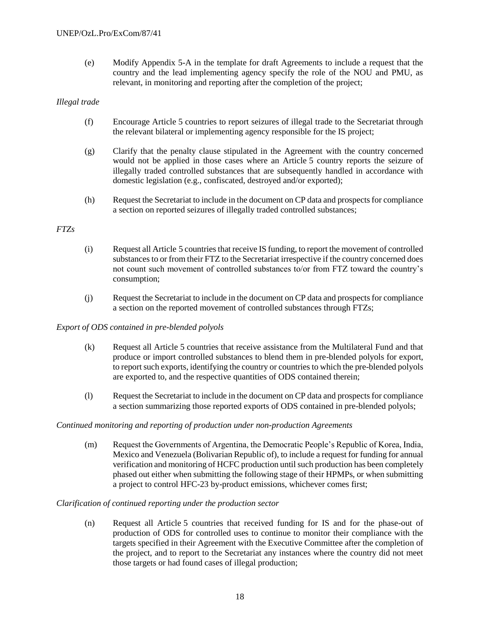(e) Modify Appendix 5-A in the template for draft Agreements to include a request that the country and the lead implementing agency specify the role of the NOU and PMU, as relevant, in monitoring and reporting after the completion of the project;

#### *Illegal trade*

- (f) Encourage Article 5 countries to report seizures of illegal trade to the Secretariat through the relevant bilateral or implementing agency responsible for the IS project;
- (g) Clarify that the penalty clause stipulated in the Agreement with the country concerned would not be applied in those cases where an Article 5 country reports the seizure of illegally traded controlled substances that are subsequently handled in accordance with domestic legislation (e.g., confiscated, destroyed and/or exported);
- (h) Request the Secretariat to include in the document on CP data and prospects for compliance a section on reported seizures of illegally traded controlled substances;

#### *FTZs*

- (i) Request all Article 5 countries that receive IS funding, to report the movement of controlled substances to or from their FTZ to the Secretariat irrespective if the country concerned does not count such movement of controlled substances to/or from FTZ toward the country's consumption;
- (j) Request the Secretariat to include in the document on CP data and prospects for compliance a section on the reported movement of controlled substances through FTZs;

#### *Export of ODS contained in pre-blended polyols*

- (k) Request all Article 5 countries that receive assistance from the Multilateral Fund and that produce or import controlled substances to blend them in pre-blended polyols for export, to report such exports, identifying the country or countries to which the pre-blended polyols are exported to, and the respective quantities of ODS contained therein;
- (l) Request the Secretariat to include in the document on CP data and prospects for compliance a section summarizing those reported exports of ODS contained in pre-blended polyols;

#### *Continued monitoring and reporting of production under non-production Agreements*

(m) Request the Governments of Argentina, the Democratic People's Republic of Korea, India, Mexico and Venezuela (Bolivarian Republic of), to include a request for funding for annual verification and monitoring of HCFC production until such production has been completely phased out either when submitting the following stage of their HPMPs, or when submitting a project to control HFC-23 by-product emissions, whichever comes first;

#### *Clarification of continued reporting under the production sector*

(n) Request all Article 5 countries that received funding for IS and for the phase-out of production of ODS for controlled uses to continue to monitor their compliance with the targets specified in their Agreement with the Executive Committee after the completion of the project, and to report to the Secretariat any instances where the country did not meet those targets or had found cases of illegal production;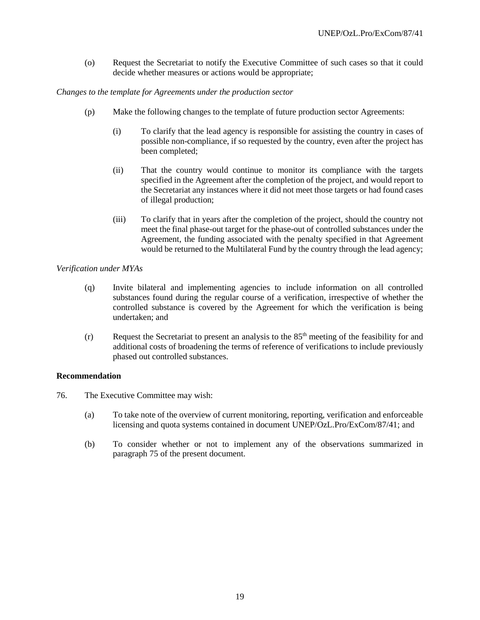(o) Request the Secretariat to notify the Executive Committee of such cases so that it could decide whether measures or actions would be appropriate;

#### *Changes to the template for Agreements under the production sector*

- (p) Make the following changes to the template of future production sector Agreements:
	- (i) To clarify that the lead agency is responsible for assisting the country in cases of possible non-compliance, if so requested by the country, even after the project has been completed;
	- (ii) That the country would continue to monitor its compliance with the targets specified in the Agreement after the completion of the project, and would report to the Secretariat any instances where it did not meet those targets or had found cases of illegal production;
	- (iii) To clarify that in years after the completion of the project, should the country not meet the final phase-out target for the phase-out of controlled substances under the Agreement, the funding associated with the penalty specified in that Agreement would be returned to the Multilateral Fund by the country through the lead agency;

#### *Verification under MYAs*

- (q) Invite bilateral and implementing agencies to include information on all controlled substances found during the regular course of a verification, irrespective of whether the controlled substance is covered by the Agreement for which the verification is being undertaken; and
- $(r)$  Request the Secretariat to present an analysis to the 85<sup>th</sup> meeting of the feasibility for and additional costs of broadening the terms of reference of verifications to include previously phased out controlled substances.

#### **Recommendation**

- 76. The Executive Committee may wish:
	- (a) To take note of the overview of current monitoring, reporting, verification and enforceable licensing and quota systems contained in document UNEP/OzL.Pro/ExCom/87/41; and
	- (b) To consider whether or not to implement any of the observations summarized in paragraph 75 of the present document.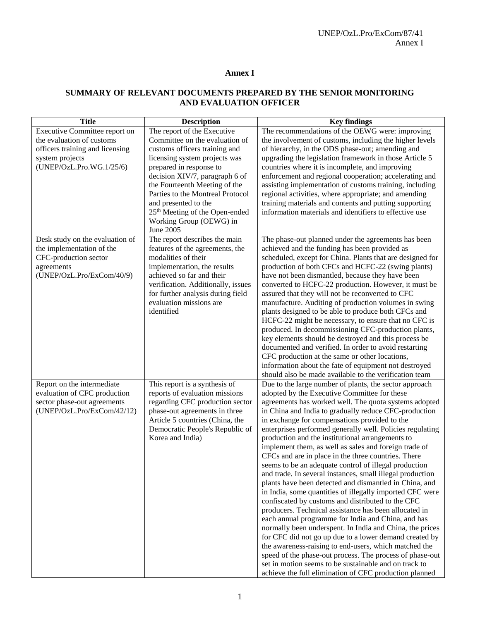#### **Annex I**

# **SUMMARY OF RELEVANT DOCUMENTS PREPARED BY THE SENIOR MONITORING AND EVALUATION OFFICER**

| <b>Title</b>                                                 | <b>Description</b>                                               | <b>Key findings</b>                                                                                               |
|--------------------------------------------------------------|------------------------------------------------------------------|-------------------------------------------------------------------------------------------------------------------|
| Executive Committee report on                                | The report of the Executive                                      | The recommendations of the OEWG were: improving                                                                   |
| the evaluation of customs                                    | Committee on the evaluation of                                   | the involvement of customs, including the higher levels                                                           |
| officers training and licensing                              | customs officers training and                                    | of hierarchy, in the ODS phase-out; amending and                                                                  |
| system projects                                              | licensing system projects was                                    | upgrading the legislation framework in those Article 5                                                            |
| (UNEP/OzL.Pro.WG.1/25/6)                                     | prepared in response to                                          | countries where it is incomplete, and improving                                                                   |
|                                                              | decision XIV/7, paragraph 6 of                                   | enforcement and regional cooperation; accelerating and                                                            |
|                                                              | the Fourteenth Meeting of the                                    | assisting implementation of customs training, including                                                           |
|                                                              | Parties to the Montreal Protocol                                 | regional activities, where appropriate; and amending                                                              |
|                                                              | and presented to the                                             | training materials and contents and putting supporting                                                            |
|                                                              | 25 <sup>th</sup> Meeting of the Open-ended                       | information materials and identifiers to effective use                                                            |
|                                                              | Working Group (OEWG) in<br>June 2005                             |                                                                                                                   |
|                                                              |                                                                  |                                                                                                                   |
| Desk study on the evaluation of<br>the implementation of the | The report describes the main<br>features of the agreements, the | The phase-out planned under the agreements has been<br>achieved and the funding has been provided as              |
| CFC-production sector                                        | modalities of their                                              | scheduled, except for China. Plants that are designed for                                                         |
| agreements                                                   | implementation, the results                                      | production of both CFCs and HCFC-22 (swing plants)                                                                |
| (UNEP/OzL.Pro/ExCom/40/9)                                    | achieved so far and their                                        | have not been dismantled, because they have been                                                                  |
|                                                              | verification. Additionally, issues                               | converted to HCFC-22 production. However, it must be                                                              |
|                                                              | for further analysis during field                                | assured that they will not be reconverted to CFC                                                                  |
|                                                              | evaluation missions are                                          | manufacture. Auditing of production volumes in swing                                                              |
|                                                              | identified                                                       | plants designed to be able to produce both CFCs and                                                               |
|                                                              |                                                                  | HCFC-22 might be necessary, to ensure that no CFC is                                                              |
|                                                              |                                                                  | produced. In decommissioning CFC-production plants,                                                               |
|                                                              |                                                                  | key elements should be destroyed and this process be                                                              |
|                                                              |                                                                  | documented and verified. In order to avoid restarting                                                             |
|                                                              |                                                                  | CFC production at the same or other locations,                                                                    |
|                                                              |                                                                  | information about the fate of equipment not destroyed                                                             |
|                                                              |                                                                  | should also be made available to the verification team                                                            |
| Report on the intermediate                                   | This report is a synthesis of                                    | Due to the large number of plants, the sector approach                                                            |
| evaluation of CFC production                                 | reports of evaluation missions                                   | adopted by the Executive Committee for these                                                                      |
| sector phase-out agreements<br>(UNEP/OzL.Pro/ExCom/42/12)    | regarding CFC production sector<br>phase-out agreements in three | agreements has worked well. The quota systems adopted<br>in China and India to gradually reduce CFC-production    |
|                                                              | Article 5 countries (China, the                                  | in exchange for compensations provided to the                                                                     |
|                                                              | Democratic People's Republic of                                  | enterprises performed generally well. Policies regulating                                                         |
|                                                              | Korea and India)                                                 | production and the institutional arrangements to                                                                  |
|                                                              |                                                                  | implement them, as well as sales and foreign trade of                                                             |
|                                                              |                                                                  | CFCs and are in place in the three countries. There                                                               |
|                                                              |                                                                  | seems to be an adequate control of illegal production                                                             |
|                                                              |                                                                  | and trade. In several instances, small illegal production                                                         |
|                                                              |                                                                  | plants have been detected and dismantled in China, and                                                            |
|                                                              |                                                                  | in India, some quantities of illegally imported CFC were                                                          |
|                                                              |                                                                  | confiscated by customs and distributed to the CFC                                                                 |
|                                                              |                                                                  | producers. Technical assistance has been allocated in                                                             |
|                                                              |                                                                  | each annual programme for India and China, and has                                                                |
|                                                              |                                                                  | normally been underspent. In India and China, the prices                                                          |
|                                                              |                                                                  | for CFC did not go up due to a lower demand created by                                                            |
|                                                              |                                                                  | the awareness-raising to end-users, which matched the                                                             |
|                                                              |                                                                  | speed of the phase-out process. The process of phase-out<br>set in motion seems to be sustainable and on track to |
|                                                              |                                                                  | achieve the full elimination of CFC production planned                                                            |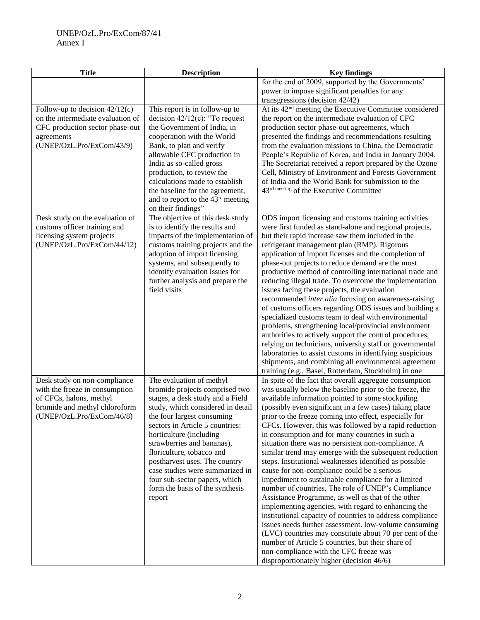# UNEP/OzL.Pro/ExCom/87/41 Annex I

| <b>Title</b>                      | <b>Description</b>                                               | <b>Key findings</b>                                                                                             |
|-----------------------------------|------------------------------------------------------------------|-----------------------------------------------------------------------------------------------------------------|
|                                   |                                                                  | for the end of 2009, supported by the Governments'                                                              |
|                                   |                                                                  | power to impose significant penalties for any                                                                   |
|                                   |                                                                  | transgressions (decision 42/42)                                                                                 |
| Follow-up to decision $42/12(c)$  | This report is in follow-up to                                   | At its 42 <sup>nd</sup> meeting the Executive Committee considered                                              |
| on the intermediate evaluation of | decision $42/12(c)$ : "To request                                | the report on the intermediate evaluation of CFC                                                                |
| CFC production sector phase-out   | the Government of India, in                                      | production sector phase-out agreements, which                                                                   |
| agreements                        | cooperation with the World                                       | presented the findings and recommendations resulting                                                            |
| (UNEP/OzL.Pro/ExCom/43/9)         | Bank, to plan and verify                                         | from the evaluation missions to China, the Democratic                                                           |
|                                   | allowable CFC production in                                      | People's Republic of Korea, and India in January 2004.                                                          |
|                                   | India as so-called gross<br>production, to review the            | The Secretariat received a report prepared by the Ozone<br>Cell, Ministry of Environment and Forests Government |
|                                   | calculations made to establish                                   | of India and the World Bank for submission to the                                                               |
|                                   | the baseline for the agreement,                                  | 43 <sup>rd meeting</sup> of the Executive Committee                                                             |
|                                   | and to report to the 43 <sup>rd</sup> meeting                    |                                                                                                                 |
|                                   | on their findings"                                               |                                                                                                                 |
| Desk study on the evaluation of   | The objective of this desk study                                 | ODS import licensing and customs training activities                                                            |
| customs officer training and      | is to identify the results and                                   | were first funded as stand-alone and regional projects,                                                         |
| licensing system projects         | impacts of the implementation of                                 | but their rapid increase saw them included in the                                                               |
| (UNEP/OzL.Pro/ExCom/44/12)        | customs training projects and the                                | refrigerant management plan (RMP). Rigorous                                                                     |
|                                   | adoption of import licensing                                     | application of import licenses and the completion of                                                            |
|                                   | systems, and subsequently to                                     | phase-out projects to reduce demand are the most                                                                |
|                                   | identify evaluation issues for                                   | productive method of controlling international trade and                                                        |
|                                   | further analysis and prepare the                                 | reducing illegal trade. To overcome the implementation                                                          |
|                                   | field visits                                                     | issues facing these projects, the evaluation                                                                    |
|                                   |                                                                  | recommended inter alia focusing on awareness-raising                                                            |
|                                   |                                                                  | of customs officers regarding ODS issues and building a                                                         |
|                                   |                                                                  | specialized customs team to deal with environmental                                                             |
|                                   |                                                                  | problems, strengthening local/provincial environment<br>authorities to actively support the control procedures, |
|                                   |                                                                  | relying on technicians, university staff or governmental                                                        |
|                                   |                                                                  | laboratories to assist customs in identifying suspicious                                                        |
|                                   |                                                                  | shipments, and combining all environmental agreement                                                            |
|                                   |                                                                  | training (e.g., Basel, Rotterdam, Stockholm) in one                                                             |
| Desk study on non-compliance      | The evaluation of methyl                                         | In spite of the fact that overall aggregate consumption                                                         |
| with the freeze in consumption    | bromide projects comprised two                                   | was usually below the baseline prior to the freeze, the                                                         |
| of CFCs, halons, methyl           | stages, a desk study and a Field                                 | available information pointed to some stockpiling                                                               |
| bromide and methyl chloroform     | study, which considered in detail                                | (possibly even significant in a few cases) taking place                                                         |
| (UNEP/OzL.Pro/ExCom/46/8)         | the four largest consuming                                       | prior to the freeze coming into effect, especially for                                                          |
|                                   | sectors in Article 5 countries:                                  | CFCs. However, this was followed by a rapid reduction                                                           |
|                                   | horticulture (including                                          | in consumption and for many countries in such a                                                                 |
|                                   | strawberries and bananas),                                       | situation there was no persistent non-compliance. A                                                             |
|                                   | floriculture, tobacco and                                        | similar trend may emerge with the subsequent reduction                                                          |
|                                   | postharvest uses. The country                                    | steps. Institutional weaknesses identified as possible                                                          |
|                                   | case studies were summarized in<br>four sub-sector papers, which | cause for non-compliance could be a serious<br>impediment to sustainable compliance for a limited               |
|                                   | form the basis of the synthesis                                  | number of countries. The role of UNEP's Compliance                                                              |
|                                   | report                                                           | Assistance Programme, as well as that of the other                                                              |
|                                   |                                                                  | implementing agencies, with regard to enhancing the                                                             |
|                                   |                                                                  | institutional capacity of countries to address compliance                                                       |
|                                   |                                                                  | issues needs further assessment. low-volume consuming                                                           |
|                                   |                                                                  | (LVC) countries may constitute about 70 per cent of the                                                         |
|                                   |                                                                  | number of Article 5 countries, but their share of                                                               |
|                                   |                                                                  | non-compliance with the CFC freeze was                                                                          |
|                                   |                                                                  | disproportionately higher (decision 46/6)                                                                       |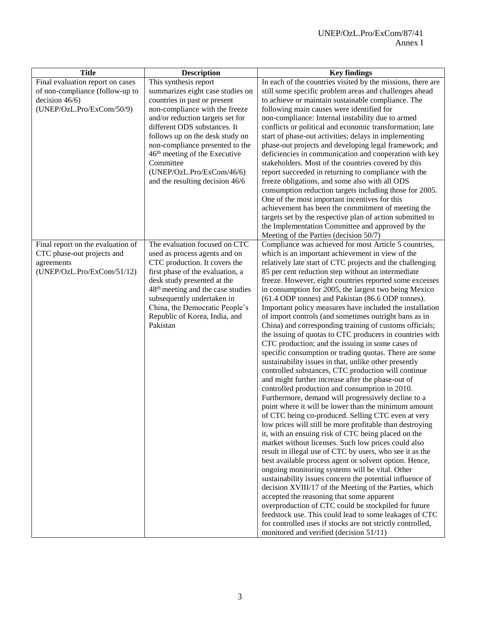| <b>Title</b>                      | <b>Description</b>                            | <b>Key findings</b>                                         |
|-----------------------------------|-----------------------------------------------|-------------------------------------------------------------|
| Final evaluation report on cases  | This synthesis report                         | In each of the countries visited by the missions, there are |
| of non-compliance (follow-up to   | summarizes eight case studies on              | still some specific problem areas and challenges ahead      |
| decision $46/6$ )                 | countries in past or present                  | to achieve or maintain sustainable compliance. The          |
| (UNEP/OzL.Pro/ExCom/50/9)         | non-compliance with the freeze                | following main causes were identified for                   |
|                                   | and/or reduction targets set for              | non-compliance: Internal instability due to armed           |
|                                   | different ODS substances. It                  | conflicts or political and economic transformation; late    |
|                                   | follows up on the desk study on               | start of phase-out activities; delays in implementing       |
|                                   | non-compliance presented to the               | phase-out projects and developing legal framework; and      |
|                                   | 46 <sup>th</sup> meeting of the Executive     | deficiencies in communication and cooperation with key      |
|                                   | Committee                                     | stakeholders. Most of the countries covered by this         |
|                                   | (UNEP/OzL.Pro/ExCom/46/6)                     | report succeeded in returning to compliance with the        |
|                                   | and the resulting decision 46/6               | freeze obligations, and some also with all ODS              |
|                                   |                                               | consumption reduction targets including those for 2005.     |
|                                   |                                               | One of the most important incentives for this               |
|                                   |                                               | achievement has been the commitment of meeting the          |
|                                   |                                               | targets set by the respective plan of action submitted to   |
|                                   |                                               | the Implementation Committee and approved by the            |
|                                   |                                               | Meeting of the Parties (decision 50/7)                      |
| Final report on the evaluation of | The evaluation focused on CTC                 | Compliance was achieved for most Article 5 countries,       |
| CTC phase-out projects and        | used as process agents and on                 | which is an important achievement in view of the            |
| agreements                        | CTC production. It covers the                 | relatively late start of CTC projects and the challenging   |
| (UNEP/OzL.Pro/ExCom/51/12)        | first phase of the evaluation, a              | 85 per cent reduction step without an intermediate          |
|                                   | desk study presented at the                   | freeze. However, eight countries reported some excesses     |
|                                   | 48 <sup>th</sup> meeting and the case studies | in consumption for 2005, the largest two being Mexico       |
|                                   | subsequently undertaken in                    | (61.4 ODP tonnes) and Pakistan (86.6 ODP tonnes).           |
|                                   | China, the Democratic People's                | Important policy measures have included the installation    |
|                                   | Republic of Korea, India, and                 | of import controls (and sometimes outright bans as in       |
|                                   | Pakistan                                      | China) and corresponding training of customs officials;     |
|                                   |                                               | the issuing of quotas to CTC producers in countries with    |
|                                   |                                               | CTC production; and the issuing in some cases of            |
|                                   |                                               | specific consumption or trading quotas. There are some      |
|                                   |                                               | sustainability issues in that, unlike other presently       |
|                                   |                                               | controlled substances, CTC production will continue         |
|                                   |                                               | and might further increase after the phase-out of           |
|                                   |                                               | controlled production and consumption in 2010.              |
|                                   |                                               | Furthermore, demand will progressively decline to a         |
|                                   |                                               | point where it will be lower than the minimum amount        |
|                                   |                                               | of CTC being co-produced. Selling CTC even at very          |
|                                   |                                               | low prices will still be more profitable than destroying    |
|                                   |                                               | it, with an ensuing risk of CTC being placed on the         |
|                                   |                                               | market without licenses. Such low prices could also         |
|                                   |                                               | result in illegal use of CTC by users, who see it as the    |
|                                   |                                               | best available process agent or solvent option. Hence,      |
|                                   |                                               | ongoing monitoring systems will be vital. Other             |
|                                   |                                               | sustainability issues concern the potential influence of    |
|                                   |                                               | decision XVIII/17 of the Meeting of the Parties, which      |
|                                   |                                               | accepted the reasoning that some apparent                   |
|                                   |                                               | overproduction of CTC could be stockpiled for future        |
|                                   |                                               | feedstock use. This could lead to some leakages of CTC      |
|                                   |                                               | for controlled uses if stocks are not strictly controlled,  |
|                                   |                                               | monitored and verified (decision 51/11)                     |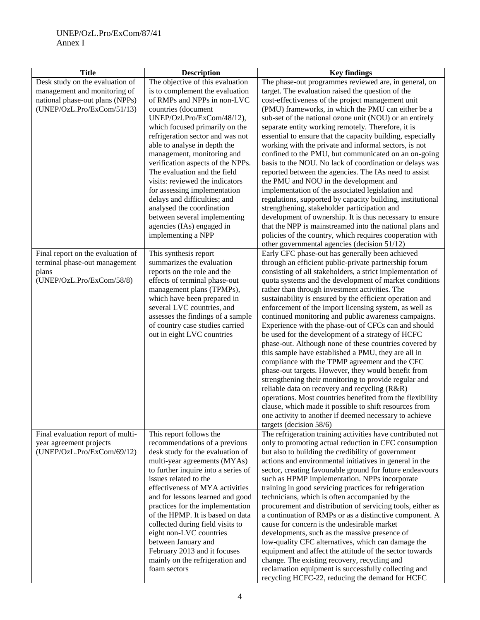| <b>Title</b>                      | <b>Description</b>                  | <b>Key findings</b>                                        |
|-----------------------------------|-------------------------------------|------------------------------------------------------------|
| Desk study on the evaluation of   | The objective of this evaluation    | The phase-out programmes reviewed are, in general, on      |
| management and monitoring of      | is to complement the evaluation     | target. The evaluation raised the question of the          |
| national phase-out plans (NPPs)   | of RMPs and NPPs in non-LVC         | cost-effectiveness of the project management unit          |
| (UNEP/OzL.Pro/ExCom/51/13)        | countries (document                 | (PMU) frameworks, in which the PMU can either be a         |
|                                   | UNEP/Ozl.Pro/ExCom/48/12),          | sub-set of the national ozone unit (NOU) or an entirely    |
|                                   | which focused primarily on the      | separate entity working remotely. Therefore, it is         |
|                                   | refrigeration sector and was not    | essential to ensure that the capacity building, especially |
|                                   | able to analyse in depth the        | working with the private and informal sectors, is not      |
|                                   | management, monitoring and          | confined to the PMU, but communicated on an on-going       |
|                                   | verification aspects of the NPPs.   | basis to the NOU. No lack of coordination or delays was    |
|                                   | The evaluation and the field        | reported between the agencies. The IAs need to assist      |
|                                   | visits: reviewed the indicators     | the PMU and NOU in the development and                     |
|                                   | for assessing implementation        | implementation of the associated legislation and           |
|                                   | delays and difficulties; and        | regulations, supported by capacity building, institutional |
|                                   | analysed the coordination           | strengthening, stakeholder participation and               |
|                                   | between several implementing        | development of ownership. It is thus necessary to ensure   |
|                                   | agencies (IAs) engaged in           | that the NPP is mainstreamed into the national plans and   |
|                                   | implementing a NPP                  | policies of the country, which requires cooperation with   |
|                                   |                                     | other governmental agencies (decision 51/12)               |
| Final report on the evaluation of | This synthesis report               | Early CFC phase-out has generally been achieved            |
| terminal phase-out management     | summarizes the evaluation           | through an efficient public-private partnership forum      |
| plans                             | reports on the role and the         | consisting of all stakeholders, a strict implementation of |
| (UNEP/OzL.Pro/ExCom/58/8)         | effects of terminal phase-out       | quota systems and the development of market conditions     |
|                                   | management plans (TPMPs),           | rather than through investment activities. The             |
|                                   | which have been prepared in         | sustainability is ensured by the efficient operation and   |
|                                   | several LVC countries, and          | enforcement of the import licensing system, as well as     |
|                                   | assesses the findings of a sample   | continued monitoring and public awareness campaigns.       |
|                                   | of country case studies carried     | Experience with the phase-out of CFCs can and should       |
|                                   | out in eight LVC countries          | be used for the development of a strategy of HCFC          |
|                                   |                                     | phase-out. Although none of these countries covered by     |
|                                   |                                     | this sample have established a PMU, they are all in        |
|                                   |                                     | compliance with the TPMP agreement and the CFC             |
|                                   |                                     | phase-out targets. However, they would benefit from        |
|                                   |                                     | strengthening their monitoring to provide regular and      |
|                                   |                                     | reliable data on recovery and recycling (R&R)              |
|                                   |                                     | operations. Most countries benefited from the flexibility  |
|                                   |                                     | clause, which made it possible to shift resources from     |
|                                   |                                     | one activity to another if deemed necessary to achieve     |
|                                   |                                     | targets (decision 58/6)                                    |
| Final evaluation report of multi- | This report follows the             | The refrigeration training activities have contributed not |
| year agreement projects           | recommendations of a previous       | only to promoting actual reduction in CFC consumption      |
| (UNEP/OzL.Pro/ExCom/69/12)        | desk study for the evaluation of    | but also to building the credibility of government         |
|                                   | multi-year agreements (MYAs)        | actions and environmental initiatives in general in the    |
|                                   | to further inquire into a series of | sector, creating favourable ground for future endeavours   |
|                                   | issues related to the               | such as HPMP implementation. NPPs incorporate              |
|                                   | effectiveness of MYA activities     | training in good servicing practices for refrigeration     |
|                                   | and for lessons learned and good    | technicians, which is often accompanied by the             |
|                                   | practices for the implementation    | procurement and distribution of servicing tools, either as |
|                                   | of the HPMP. It is based on data    | a continuation of RMPs or as a distinctive component. A    |
|                                   | collected during field visits to    | cause for concern is the undesirable market                |
|                                   | eight non-LVC countries             | developments, such as the massive presence of              |
|                                   | between January and                 | low-quality CFC alternatives, which can damage the         |
|                                   | February 2013 and it focuses        | equipment and affect the attitude of the sector towards    |
|                                   | mainly on the refrigeration and     | change. The existing recovery, recycling and               |
|                                   | foam sectors                        | reclamation equipment is successfully collecting and       |
|                                   |                                     | recycling HCFC-22, reducing the demand for HCFC            |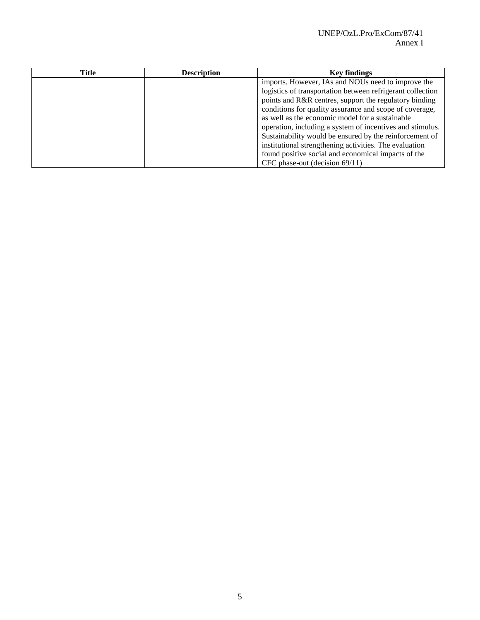| <b>Title</b> | <b>Description</b> | <b>Key findings</b>                                        |
|--------------|--------------------|------------------------------------------------------------|
|              |                    | imports. However, IAs and NOUs need to improve the         |
|              |                    | logistics of transportation between refrigerant collection |
|              |                    | points and R&R centres, support the regulatory binding     |
|              |                    | conditions for quality assurance and scope of coverage,    |
|              |                    | as well as the economic model for a sustainable            |
|              |                    | operation, including a system of incentives and stimulus.  |
|              |                    | Sustainability would be ensured by the reinforcement of    |
|              |                    | institutional strengthening activities. The evaluation     |
|              |                    | found positive social and economical impacts of the        |
|              |                    | CFC phase-out (decision 69/11)                             |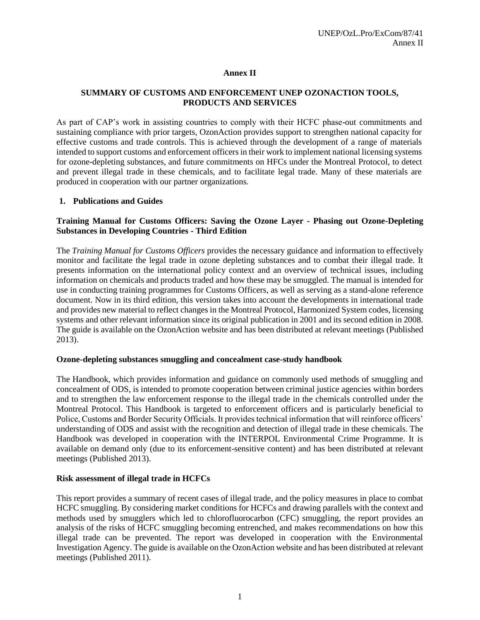## **Annex II**

# **SUMMARY OF CUSTOMS AND ENFORCEMENT UNEP OZONACTION TOOLS, PRODUCTS AND SERVICES**

As part of CAP's work in assisting countries to comply with their HCFC phase-out commitments and sustaining compliance with prior targets, OzonAction provides support to strengthen national capacity for effective customs and trade controls. This is achieved through the development of a range of materials intended to support customs and enforcement officers in their work to implement national licensing systems for ozone-depleting substances, and future commitments on HFCs under the Montreal Protocol, to detect and prevent illegal trade in these chemicals, and to facilitate legal trade. Many of these materials are produced in cooperation with our partner organizations.

#### **1. Publications and Guides**

#### **Training Manual for Customs Officers: Saving the Ozone Layer - Phasing out Ozone-Depleting Substances in Developing Countries - Third Edition**

The *Training Manual for Customs Officers* provides the necessary guidance and information to effectively monitor and facilitate the legal trade in ozone depleting substances and to combat their illegal trade. It presents information on the international policy context and an overview of technical issues, including information on chemicals and products traded and how these may be smuggled. The manual is intended for use in conducting training programmes for Customs Officers, as well as serving as a stand-alone reference document. Now in its third edition, this version takes into account the developments in international trade and provides new material to reflect changes in the Montreal Protocol, Harmonized System codes, licensing systems and other relevant information since its original publication in 2001 and its second edition in 2008. The guide is available on the OzonAction website and has been distributed at relevant meetings (Published 2013).

#### **Ozone-depleting substances smuggling and concealment case-study handbook**

The Handbook, which provides information and guidance on commonly used methods of smuggling and concealment of ODS, is intended to promote cooperation between criminal justice agencies within borders and to strengthen the law enforcement response to the illegal trade in the chemicals controlled under the Montreal Protocol. This Handbook is targeted to enforcement officers and is particularly beneficial to Police, Customs and Border Security Officials. It provides technical information that will reinforce officers' understanding of ODS and assist with the recognition and detection of illegal trade in these chemicals. The Handbook was developed in cooperation with the INTERPOL Environmental Crime Programme. It is available on demand only (due to its enforcement-sensitive content) and has been distributed at relevant meetings (Published 2013).

#### **Risk assessment of illegal trade in HCFCs**

This report provides a summary of recent cases of illegal trade, and the policy measures in place to combat HCFC smuggling. By considering market conditions for HCFCs and drawing parallels with the context and methods used by smugglers which led to chlorofluorocarbon (CFC) smuggling, the report provides an analysis of the risks of HCFC smuggling becoming entrenched, and makes recommendations on how this illegal trade can be prevented. The report was developed in cooperation with the Environmental Investigation Agency. The guide is available on the OzonAction website and has been distributed at relevant meetings (Published 2011).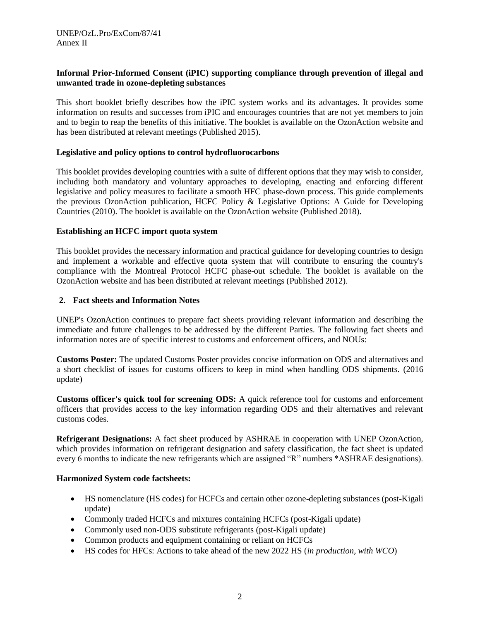### **Informal Prior-Informed Consent (iPIC) supporting compliance through prevention of illegal and unwanted trade in ozone-depleting substances**

This short booklet briefly describes how the iPIC system works and its advantages. It provides some information on results and successes from iPIC and encourages countries that are not yet members to join and to begin to reap the benefits of this initiative. The booklet is available on the OzonAction website and has been distributed at relevant meetings (Published 2015).

#### **Legislative and policy options to control hydrofluorocarbons**

This booklet provides developing countries with a suite of different options that they may wish to consider, including both mandatory and voluntary approaches to developing, enacting and enforcing different legislative and policy measures to facilitate a smooth HFC phase-down process. This guide complements the previous OzonAction publication, HCFC Policy & Legislative Options: A Guide for Developing Countries (2010). The booklet is available on the OzonAction website (Published 2018).

#### **Establishing an HCFC import quota system**

This booklet provides the necessary information and practical guidance for developing countries to design and implement a workable and effective quota system that will contribute to ensuring the country's compliance with the Montreal Protocol HCFC phase-out schedule. The booklet is available on the OzonAction website and has been distributed at relevant meetings (Published 2012).

#### **2. Fact sheets and Information Notes**

UNEP's OzonAction continues to prepare fact sheets providing relevant information and describing the immediate and future challenges to be addressed by the different Parties. The following fact sheets and information notes are of specific interest to customs and enforcement officers, and NOUs:

**Customs Poster:** The updated Customs Poster provides concise information on ODS and alternatives and a short checklist of issues for customs officers to keep in mind when handling ODS shipments. (2016 update)

**Customs officer's quick tool for screening ODS:** A quick reference tool for customs and enforcement officers that provides access to the key information regarding ODS and their alternatives and relevant customs codes.

**Refrigerant Designations:** A fact sheet produced by ASHRAE in cooperation with UNEP OzonAction, which provides information on refrigerant designation and safety classification, the fact sheet is updated every 6 months to indicate the new refrigerants which are assigned "R" numbers \*ASHRAE designations).

#### **Harmonized System code factsheets:**

- HS nomenclature (HS codes) for HCFCs and certain other ozone-depleting substances (post-Kigali update)
- Commonly traded HCFCs and mixtures containing HCFCs (post-Kigali update)
- Commonly used non-ODS substitute refrigerants (post-Kigali update)
- Common products and equipment containing or reliant on HCFCs
- HS codes for HFCs: Actions to take ahead of the new 2022 HS (*in production, with WCO*)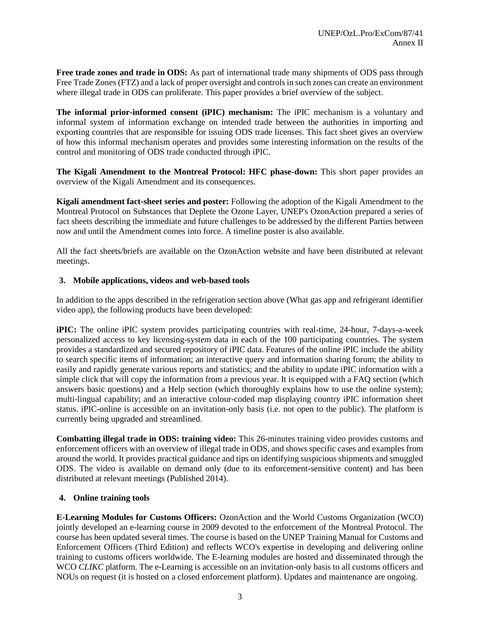**Free trade zones and trade in ODS:** As part of international trade many shipments of ODS pass through Free Trade Zones (FTZ) and a lack of proper oversight and controls in such zones can create an environment where illegal trade in ODS can proliferate. This paper provides a brief overview of the subject.

**The informal prior-informed consent (iPIC) mechanism:** The iPIC mechanism is a voluntary and informal system of information exchange on intended trade between the authorities in importing and exporting countries that are responsible for issuing ODS trade licenses. This fact sheet gives an overview of how this informal mechanism operates and provides some interesting information on the results of the control and monitoring of ODS trade conducted through iPIC.

**The Kigali Amendment to the Montreal Protocol: HFC phase-down:** This short paper provides an overview of the Kigali Amendment and its consequences.

**Kigali amendment fact-sheet series and poster:** Following the adoption of the Kigali Amendment to the Montreal Protocol on Substances that Deplete the Ozone Layer, UNEP's OzonAction prepared a series of fact sheets describing the immediate and future challenges to be addressed by the different Parties between now and until the Amendment comes into force. A timeline poster is also available.

All the fact sheets/briefs are available on the OzonAction website and have been distributed at relevant meetings.

#### **3. Mobile applications, videos and web-based tools**

In addition to the apps described in the refrigeration section above (What gas app and refrigerant identifier video app), the following products have been developed:

**iPIC:** The online iPIC system provides participating countries with real-time, 24-hour, 7-days-a-week personalized access to key licensing-system data in each of the 100 participating countries. The system provides a standardized and secured repository of iPIC data. Features of the online iPIC include the ability to search specific items of information; an interactive query and information sharing forum; the ability to easily and rapidly generate various reports and statistics; and the ability to update iPIC information with a simple click that will copy the information from a previous year. It is equipped with a FAQ section (which answers basic questions) and a Help section (which thoroughly explains how to use the online system); multi-lingual capability; and an interactive colour-coded map displaying country iPIC information sheet status. iPIC-online is accessible on an invitation-only basis (i.e. not open to the public). The platform is currently being upgraded and streamlined.

**Combatting illegal trade in ODS: training video:** This 26-minutes training video provides customs and enforcement officers with an overview of illegal trade in ODS, and shows specific cases and examples from around the world. It provides practical guidance and tips on identifying suspicious shipments and smuggled ODS. The video is available on demand only (due to its enforcement-sensitive content) and has been distributed at relevant meetings (Published 2014).

#### **4. Online training tools**

**E-Learning Modules for Customs Officers:** OzonAction and the [World Customs Organization](http://www.wcoomd.org/) (WCO) jointly developed an e-learning course in 2009 devoted to the enforcement of the Montreal Protocol. The course has been updated several times. The course is based on the UNEP Training Manual for Customs and Enforcement Officers (Third Edition) and reflects WCO's expertise in developing and delivering online training to customs officers worldwide. The E-learning modules are hosted and disseminated through the WCO *CLIKC* platform. The e-Learning is accessible on an invitation-only basis to all customs officers and NOUs on request (it is hosted on a closed enforcement platform). Updates and maintenance are ongoing.